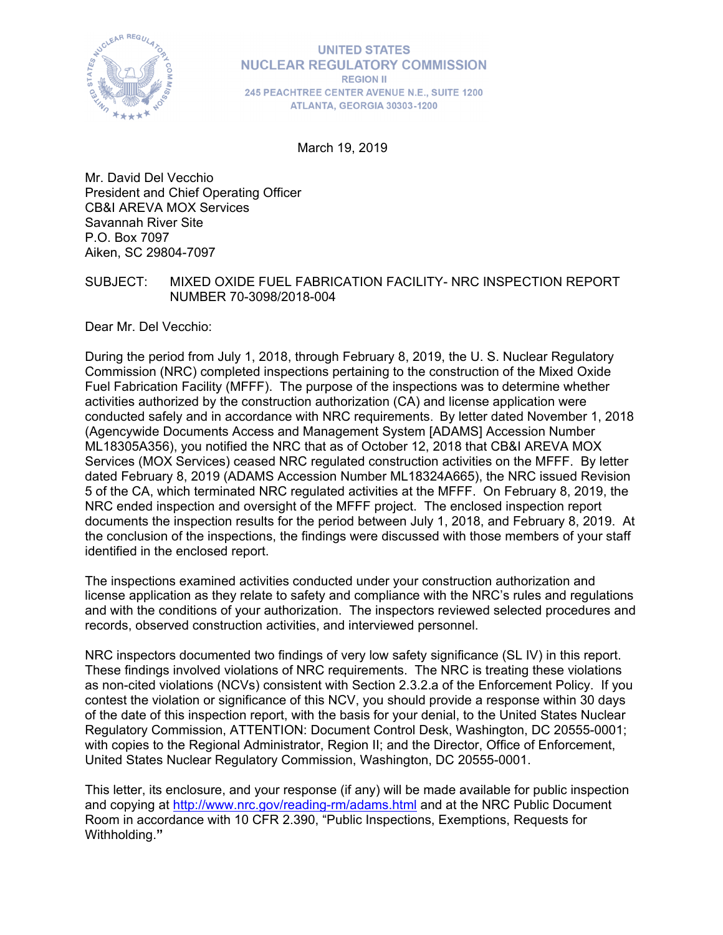

#### **UNITED STATES NUCLEAR REGULATORY COMMISSION REGION II** 245 PEACHTREE CENTER AVENUE N.E., SUITE 1200 ATLANTA, GEORGIA 30303-1200

March 19, 2019

Mr. David Del Vecchio President and Chief Operating Officer CB&I AREVA MOX Services Savannah River Site P.O. Box 7097 Aiken, SC 29804-7097

### SUBJECT: MIXED OXIDE FUEL FABRICATION FACILITY- NRC INSPECTION REPORT NUMBER 70-3098/2018-004

Dear Mr. Del Vecchio:

During the period from July 1, 2018, through February 8, 2019, the U. S. Nuclear Regulatory Commission (NRC) completed inspections pertaining to the construction of the Mixed Oxide Fuel Fabrication Facility (MFFF). The purpose of the inspections was to determine whether activities authorized by the construction authorization (CA) and license application were conducted safely and in accordance with NRC requirements. By letter dated November 1, 2018 (Agencywide Documents Access and Management System [ADAMS] Accession Number ML18305A356), you notified the NRC that as of October 12, 2018 that CB&I AREVA MOX Services (MOX Services) ceased NRC regulated construction activities on the MFFF. By letter dated February 8, 2019 (ADAMS Accession Number ML18324A665), the NRC issued Revision 5 of the CA, which terminated NRC regulated activities at the MFFF. On February 8, 2019, the NRC ended inspection and oversight of the MFFF project. The enclosed inspection report documents the inspection results for the period between July 1, 2018, and February 8, 2019. At the conclusion of the inspections, the findings were discussed with those members of your staff identified in the enclosed report.

The inspections examined activities conducted under your construction authorization and license application as they relate to safety and compliance with the NRC's rules and regulations and with the conditions of your authorization. The inspectors reviewed selected procedures and records, observed construction activities, and interviewed personnel.

NRC inspectors documented two findings of very low safety significance (SL IV) in this report. These findings involved violations of NRC requirements. The NRC is treating these violations as non-cited violations (NCVs) consistent with Section 2.3.2.a of the Enforcement Policy. If you contest the violation or significance of this NCV, you should provide a response within 30 days of the date of this inspection report, with the basis for your denial, to the United States Nuclear Regulatory Commission, ATTENTION: Document Control Desk, Washington, DC 20555-0001; with copies to the Regional Administrator, Region II; and the Director, Office of Enforcement, United States Nuclear Regulatory Commission, Washington, DC 20555-0001.

This letter, its enclosure, and your response (if any) will be made available for public inspection and copying at http://www.nrc.gov/reading-rm/adams.html and at the NRC Public Document Room in accordance with 10 CFR 2.390, "Public Inspections, Exemptions, Requests for Withholding.**"**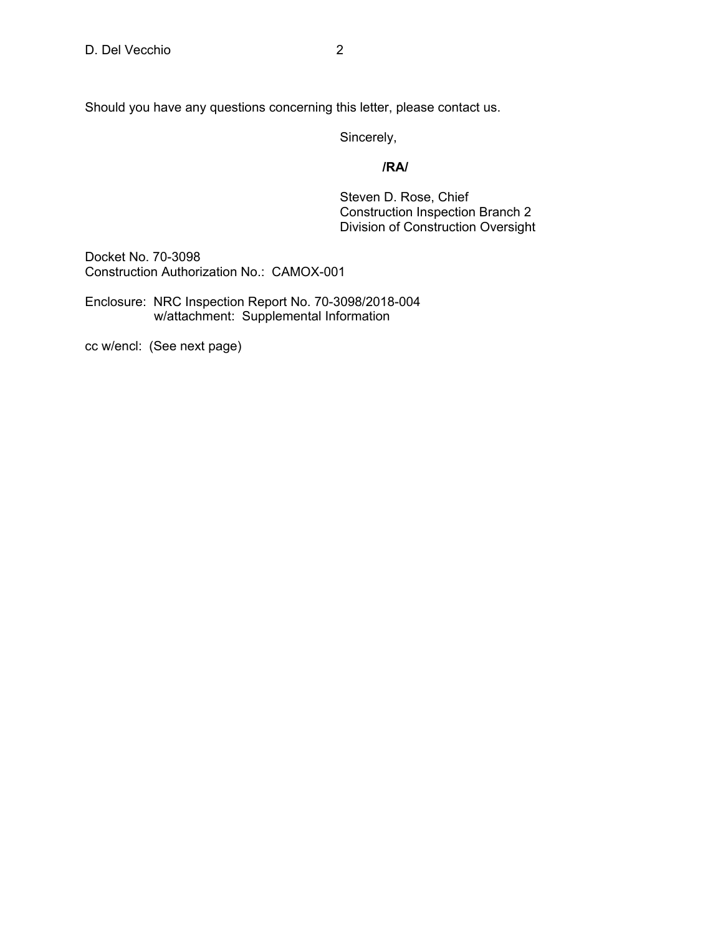Sincerely,

### *<i>/RA/*  $\sqrt{R}$ /RA/

 Steven D. Rose, Chief Construction Inspection Branch 2 Division of Construction Oversight

Docket No. 70-3098 Construction Authorization No.: CAMOX-001

Enclosure: NRC Inspection Report No. 70-3098/2018-004 w/attachment: Supplemental Information

cc w/encl: (See next page)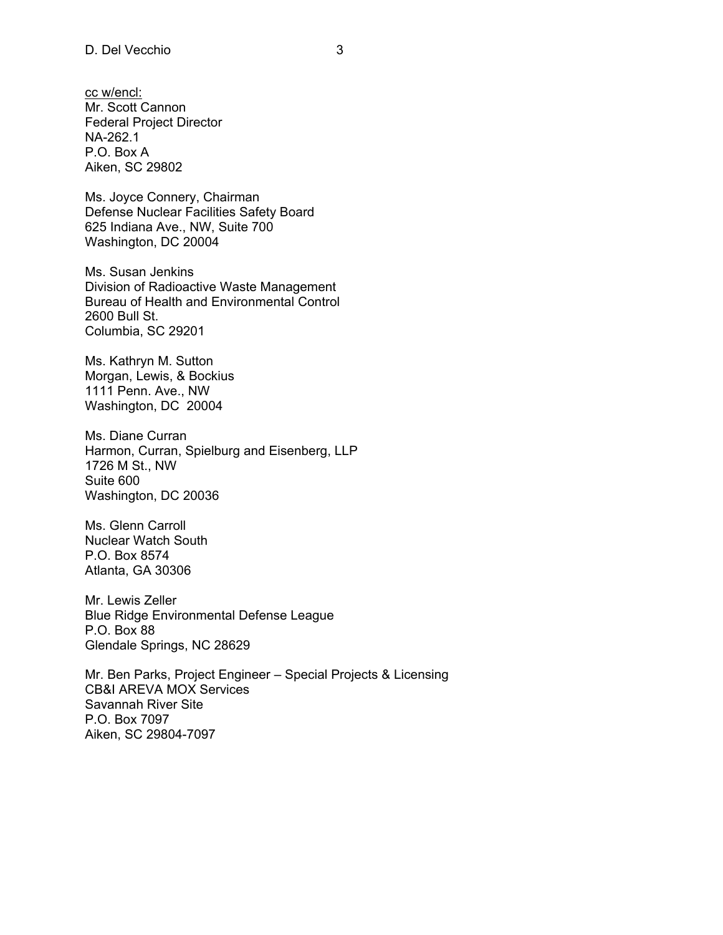cc w/encl: Mr. Scott Cannon Federal Project Director NA-262.1 P.O. Box A Aiken, SC 29802

Ms. Joyce Connery, Chairman Defense Nuclear Facilities Safety Board 625 Indiana Ave., NW, Suite 700 Washington, DC 20004

Ms. Susan Jenkins Division of Radioactive Waste Management Bureau of Health and Environmental Control 2600 Bull St. Columbia, SC 29201

Ms. Kathryn M. Sutton Morgan, Lewis, & Bockius 1111 Penn. Ave., NW Washington, DC 20004

Ms. Diane Curran Harmon, Curran, Spielburg and Eisenberg, LLP 1726 M St., NW Suite 600 Washington, DC 20036

Ms. Glenn Carroll Nuclear Watch South P.O. Box 8574 Atlanta, GA 30306

Mr. Lewis Zeller Blue Ridge Environmental Defense League P.O. Box 88 Glendale Springs, NC 28629

Mr. Ben Parks, Project Engineer – Special Projects & Licensing CB&I AREVA MOX Services Savannah River Site P.O. Box 7097 Aiken, SC 29804-7097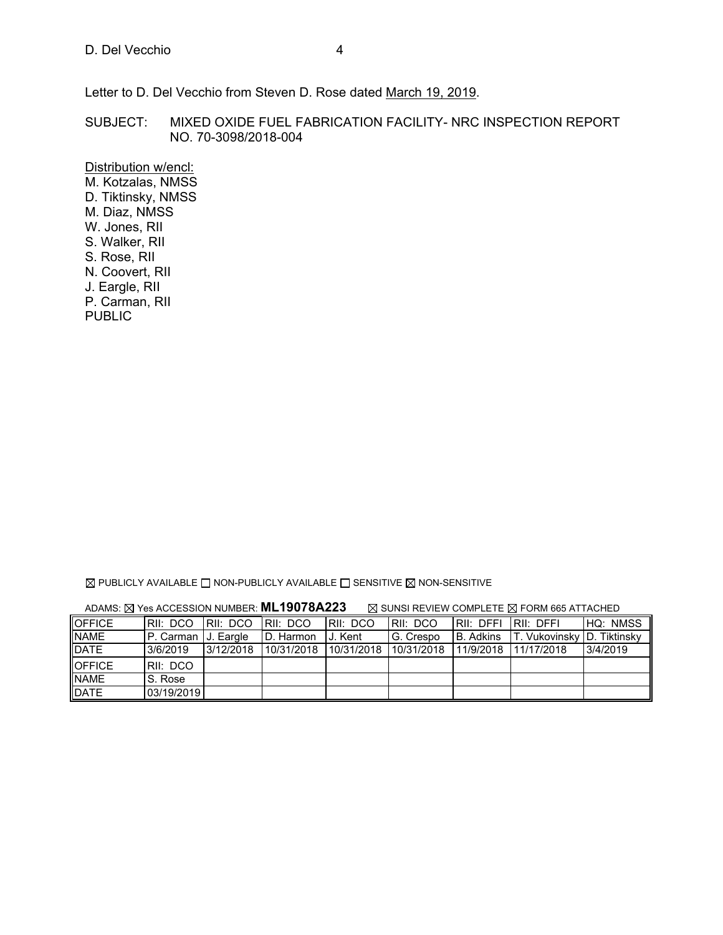Letter to D. Del Vecchio from Steven D. Rose dated March 19, 2019.

SUBJECT: MIXED OXIDE FUEL FABRICATION FACILITY- NRC INSPECTION REPORT NO. 70-3098/2018-004

Distribution w/encl: M. Kotzalas, NMSS D. Tiktinsky, NMSS M. Diaz, NMSS W. Jones, RII S. Walker, RII S. Rose, RII N. Coovert, RII J. Eargle, RII P. Carman, RII PUBLIC

 $\boxtimes$  PUBLICLY AVAILABLE  $\Box$  NON-PUBLICLY AVAILABLE  $\Box$  SENSITIVE  $\boxtimes$  NON-SENSITIVE

| ADAMS: ⊠ Yes ACCESSION NUMBER: ML19078A223<br>$\boxtimes$ SUNSI REVIEW COMPLETE $\boxtimes$ FORM 665 ATTACHED |                       |                     |            |                |            |                       |                             |                 |
|---------------------------------------------------------------------------------------------------------------|-----------------------|---------------------|------------|----------------|------------|-----------------------|-----------------------------|-----------------|
| <b>OFFICE</b>                                                                                                 | IRII: DCO             | IRII: DCO IRII: DCO |            | RII: DCO       | IRII: DCO  | IRII: DFFI IRII: DFFI |                             | <b>HQ: NMSS</b> |
| <b>NAME</b>                                                                                                   | IP. Carman IJ. Eargle |                     | D. Harmon  | <b>J.</b> Kent | G. Crespo  | <b>B.</b> Adkins      | T. Vukovinsky ID. Tiktinsky |                 |
| <b>DATE</b>                                                                                                   | 3/6/2019              | 3/12/2018           | 10/31/2018 | 10/31/2018     | 10/31/2018 |                       | 11/9/2018 11/17/2018        | 3/4/2019        |
| <b>OFFICE</b>                                                                                                 | RII: DCO              |                     |            |                |            |                       |                             |                 |
| <b>NAME</b>                                                                                                   | S. Rose               |                     |            |                |            |                       |                             |                 |
| <b>DATE</b>                                                                                                   | 03/19/2019            |                     |            |                |            |                       |                             |                 |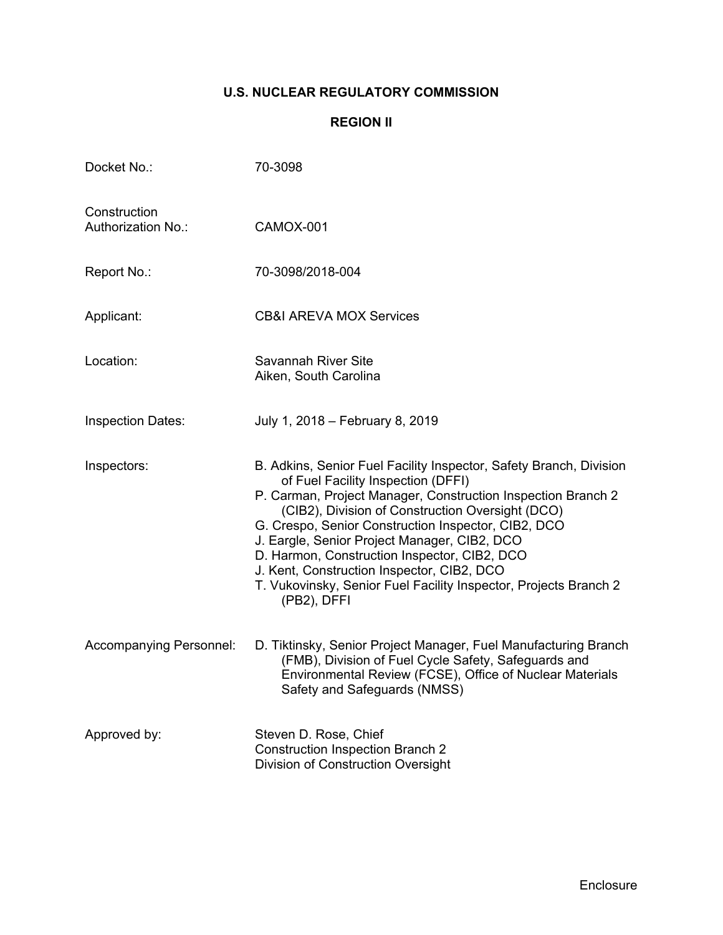## **U.S. NUCLEAR REGULATORY COMMISSION**

## **REGION II**

| Docket No.:                               | 70-3098                                                                                                                                                                                                                                                                                                                                                                                                                                                                                                              |
|-------------------------------------------|----------------------------------------------------------------------------------------------------------------------------------------------------------------------------------------------------------------------------------------------------------------------------------------------------------------------------------------------------------------------------------------------------------------------------------------------------------------------------------------------------------------------|
| Construction<br><b>Authorization No.:</b> | CAMOX-001                                                                                                                                                                                                                                                                                                                                                                                                                                                                                                            |
| Report No.:                               | 70-3098/2018-004                                                                                                                                                                                                                                                                                                                                                                                                                                                                                                     |
| Applicant:                                | <b>CB&amp;I AREVA MOX Services</b>                                                                                                                                                                                                                                                                                                                                                                                                                                                                                   |
| Location:                                 | <b>Savannah River Site</b><br>Aiken, South Carolina                                                                                                                                                                                                                                                                                                                                                                                                                                                                  |
| <b>Inspection Dates:</b>                  | July 1, 2018 - February 8, 2019                                                                                                                                                                                                                                                                                                                                                                                                                                                                                      |
| Inspectors:                               | B. Adkins, Senior Fuel Facility Inspector, Safety Branch, Division<br>of Fuel Facility Inspection (DFFI)<br>P. Carman, Project Manager, Construction Inspection Branch 2<br>(CIB2), Division of Construction Oversight (DCO)<br>G. Crespo, Senior Construction Inspector, CIB2, DCO<br>J. Eargle, Senior Project Manager, CIB2, DCO<br>D. Harmon, Construction Inspector, CIB2, DCO<br>J. Kent, Construction Inspector, CIB2, DCO<br>T. Vukovinsky, Senior Fuel Facility Inspector, Projects Branch 2<br>(PB2), DFFI |
| Accompanying Personnel:                   | D. Tiktinsky, Senior Project Manager, Fuel Manufacturing Branch<br>(FMB), Division of Fuel Cycle Safety, Safeguards and<br>Environmental Review (FCSE), Office of Nuclear Materials<br>Safety and Safeguards (NMSS)                                                                                                                                                                                                                                                                                                  |
| Approved by:                              | Steven D. Rose, Chief<br><b>Construction Inspection Branch 2</b><br>Division of Construction Oversight                                                                                                                                                                                                                                                                                                                                                                                                               |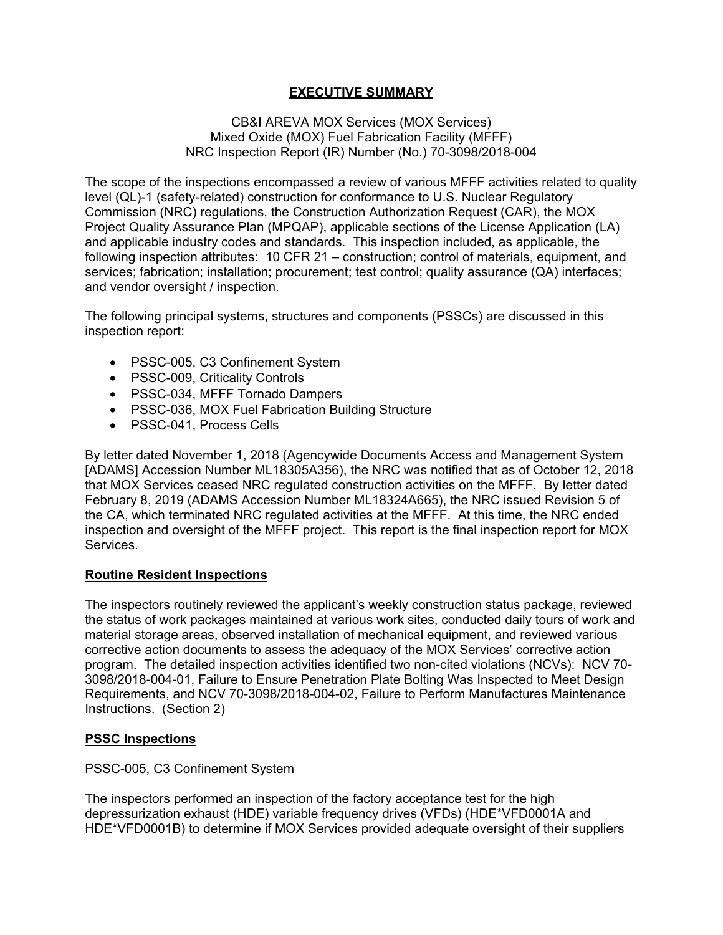### **EXECUTIVE SUMMARY**

#### CB&I AREVA MOX Services (MOX Services) Mixed Oxide (MOX) Fuel Fabrication Facility (MFFF) NRC Inspection Report (IR) Number (No.) 70-3098/2018-004

The scope of the inspections encompassed a review of various MFFF activities related to quality level (QL)-1 (safety-related) construction for conformance to U.S. Nuclear Regulatory Commission (NRC) regulations, the Construction Authorization Request (CAR), the MOX Project Quality Assurance Plan (MPQAP), applicable sections of the License Application (LA) and applicable industry codes and standards. This inspection included, as applicable, the following inspection attributes: 10 CFR 21 – construction; control of materials, equipment, and services; fabrication; installation; procurement; test control; quality assurance (QA) interfaces; and vendor oversight / inspection.

The following principal systems, structures and components (PSSCs) are discussed in this inspection report:

- PSSC-005, C3 Confinement System
- PSSC-009, Criticality Controls
- PSSC-034, MFFF Tornado Dampers
- PSSC-036, MOX Fuel Fabrication Building Structure
- PSSC-041, Process Cells

By letter dated November 1, 2018 (Agencywide Documents Access and Management System [ADAMS] Accession Number ML18305A356), the NRC was notified that as of October 12, 2018 that MOX Services ceased NRC regulated construction activities on the MFFF. By letter dated February 8, 2019 (ADAMS Accession Number ML18324A665), the NRC issued Revision 5 of the CA, which terminated NRC regulated activities at the MFFF. At this time, the NRC ended inspection and oversight of the MFFF project. This report is the final inspection report for MOX Services.

### **Routine Resident Inspections**

The inspectors routinely reviewed the applicant's weekly construction status package, reviewed the status of work packages maintained at various work sites, conducted daily tours of work and material storage areas, observed installation of mechanical equipment, and reviewed various corrective action documents to assess the adequacy of the MOX Services' corrective action program. The detailed inspection activities identified two non-cited violations (NCVs): NCV 70- 3098/2018-004-01, Failure to Ensure Penetration Plate Bolting Was Inspected to Meet Design Requirements, and NCV 70-3098/2018-004-02, Failure to Perform Manufactures Maintenance Instructions. (Section 2)

### **PSSC Inspections**

#### PSSC-005, C3 Confinement System

The inspectors performed an inspection of the factory acceptance test for the high depressurization exhaust (HDE) variable frequency drives (VFDs) (HDE\*VFD0001A and HDE\*VFD0001B) to determine if MOX Services provided adequate oversight of their suppliers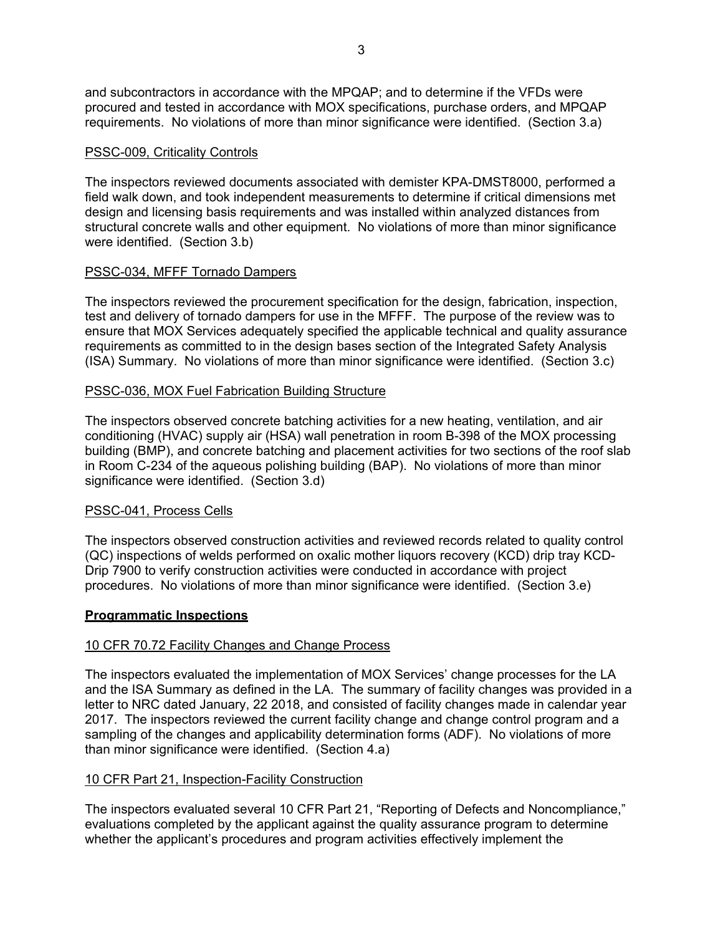and subcontractors in accordance with the MPQAP; and to determine if the VFDs were procured and tested in accordance with MOX specifications, purchase orders, and MPQAP requirements. No violations of more than minor significance were identified. (Section 3.a)

### PSSC-009, Criticality Controls

The inspectors reviewed documents associated with demister KPA-DMST8000, performed a field walk down, and took independent measurements to determine if critical dimensions met design and licensing basis requirements and was installed within analyzed distances from structural concrete walls and other equipment. No violations of more than minor significance were identified. (Section 3.b)

#### PSSC-034, MFFF Tornado Dampers

The inspectors reviewed the procurement specification for the design, fabrication, inspection, test and delivery of tornado dampers for use in the MFFF. The purpose of the review was to ensure that MOX Services adequately specified the applicable technical and quality assurance requirements as committed to in the design bases section of the Integrated Safety Analysis (ISA) Summary. No violations of more than minor significance were identified. (Section 3.c)

#### PSSC-036, MOX Fuel Fabrication Building Structure

The inspectors observed concrete batching activities for a new heating, ventilation, and air conditioning (HVAC) supply air (HSA) wall penetration in room B-398 of the MOX processing building (BMP), and concrete batching and placement activities for two sections of the roof slab in Room C-234 of the aqueous polishing building (BAP). No violations of more than minor significance were identified. (Section 3.d)

### PSSC-041, Process Cells

The inspectors observed construction activities and reviewed records related to quality control (QC) inspections of welds performed on oxalic mother liquors recovery (KCD) drip tray KCD-Drip 7900 to verify construction activities were conducted in accordance with project procedures. No violations of more than minor significance were identified. (Section 3.e)

#### **Programmatic Inspections**

### 10 CFR 70.72 Facility Changes and Change Process

The inspectors evaluated the implementation of MOX Services' change processes for the LA and the ISA Summary as defined in the LA. The summary of facility changes was provided in a letter to NRC dated January, 22 2018, and consisted of facility changes made in calendar year 2017. The inspectors reviewed the current facility change and change control program and a sampling of the changes and applicability determination forms (ADF). No violations of more than minor significance were identified. (Section 4.a)

### 10 CFR Part 21, Inspection-Facility Construction

The inspectors evaluated several 10 CFR Part 21, "Reporting of Defects and Noncompliance," evaluations completed by the applicant against the quality assurance program to determine whether the applicant's procedures and program activities effectively implement the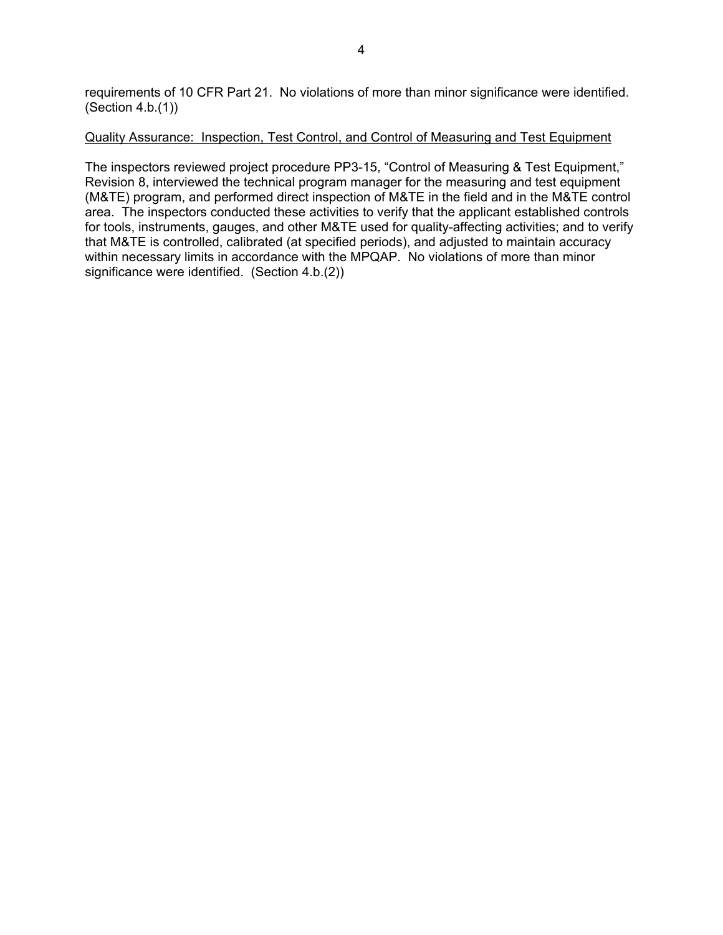requirements of 10 CFR Part 21. No violations of more than minor significance were identified. (Section 4.b.(1))

#### Quality Assurance: Inspection, Test Control, and Control of Measuring and Test Equipment

The inspectors reviewed project procedure PP3-15, "Control of Measuring & Test Equipment," Revision 8, interviewed the technical program manager for the measuring and test equipment (M&TE) program, and performed direct inspection of M&TE in the field and in the M&TE control area. The inspectors conducted these activities to verify that the applicant established controls for tools, instruments, gauges, and other M&TE used for quality-affecting activities; and to verify that M&TE is controlled, calibrated (at specified periods), and adjusted to maintain accuracy within necessary limits in accordance with the MPQAP. No violations of more than minor significance were identified. (Section 4.b.(2))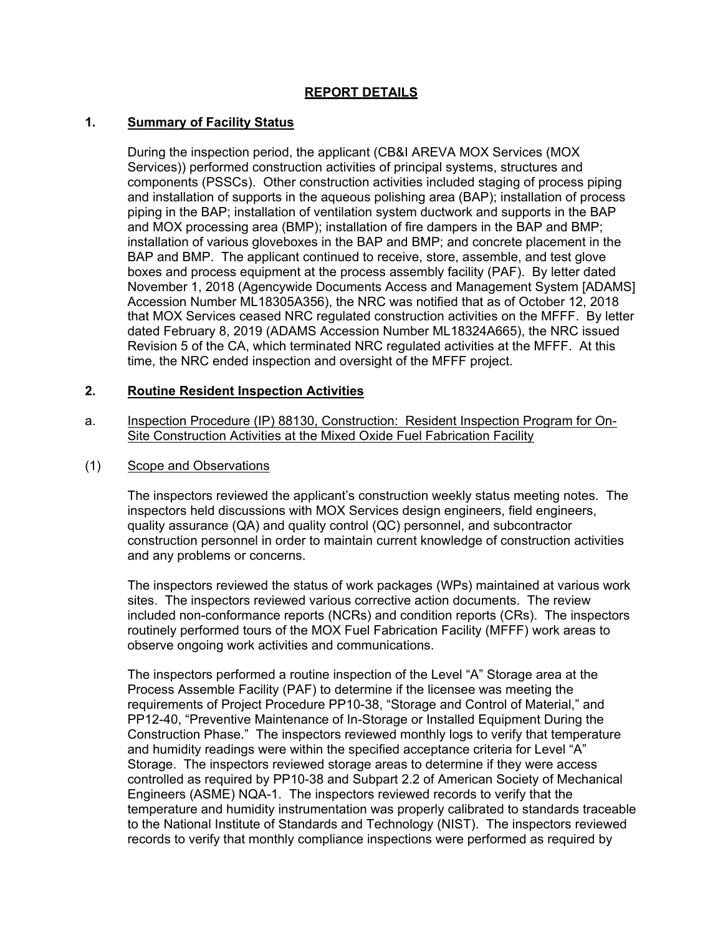### **REPORT DETAILS**

### **1. Summary of Facility Status**

During the inspection period, the applicant (CB&I AREVA MOX Services (MOX Services)) performed construction activities of principal systems, structures and components (PSSCs). Other construction activities included staging of process piping and installation of supports in the aqueous polishing area (BAP); installation of process piping in the BAP; installation of ventilation system ductwork and supports in the BAP and MOX processing area (BMP); installation of fire dampers in the BAP and BMP; installation of various gloveboxes in the BAP and BMP; and concrete placement in the BAP and BMP. The applicant continued to receive, store, assemble, and test glove boxes and process equipment at the process assembly facility (PAF). By letter dated November 1, 2018 (Agencywide Documents Access and Management System [ADAMS] Accession Number ML18305A356), the NRC was notified that as of October 12, 2018 that MOX Services ceased NRC regulated construction activities on the MFFF. By letter dated February 8, 2019 (ADAMS Accession Number ML18324A665), the NRC issued Revision 5 of the CA, which terminated NRC regulated activities at the MFFF. At this time, the NRC ended inspection and oversight of the MFFF project.

#### **2. Routine Resident Inspection Activities**

a. Inspection Procedure (IP) 88130, Construction: Resident Inspection Program for On-Site Construction Activities at the Mixed Oxide Fuel Fabrication Facility

#### (1) Scope and Observations

The inspectors reviewed the applicant's construction weekly status meeting notes. The inspectors held discussions with MOX Services design engineers, field engineers, quality assurance (QA) and quality control (QC) personnel, and subcontractor construction personnel in order to maintain current knowledge of construction activities and any problems or concerns.

The inspectors reviewed the status of work packages (WPs) maintained at various work sites. The inspectors reviewed various corrective action documents. The review included non-conformance reports (NCRs) and condition reports (CRs). The inspectors routinely performed tours of the MOX Fuel Fabrication Facility (MFFF) work areas to observe ongoing work activities and communications.

The inspectors performed a routine inspection of the Level "A" Storage area at the Process Assemble Facility (PAF) to determine if the licensee was meeting the requirements of Project Procedure PP10-38, "Storage and Control of Material," and PP12-40, "Preventive Maintenance of In-Storage or Installed Equipment During the Construction Phase." The inspectors reviewed monthly logs to verify that temperature and humidity readings were within the specified acceptance criteria for Level "A" Storage. The inspectors reviewed storage areas to determine if they were access controlled as required by PP10-38 and Subpart 2.2 of American Society of Mechanical Engineers (ASME) NQA-1. The inspectors reviewed records to verify that the temperature and humidity instrumentation was properly calibrated to standards traceable to the National Institute of Standards and Technology (NIST). The inspectors reviewed records to verify that monthly compliance inspections were performed as required by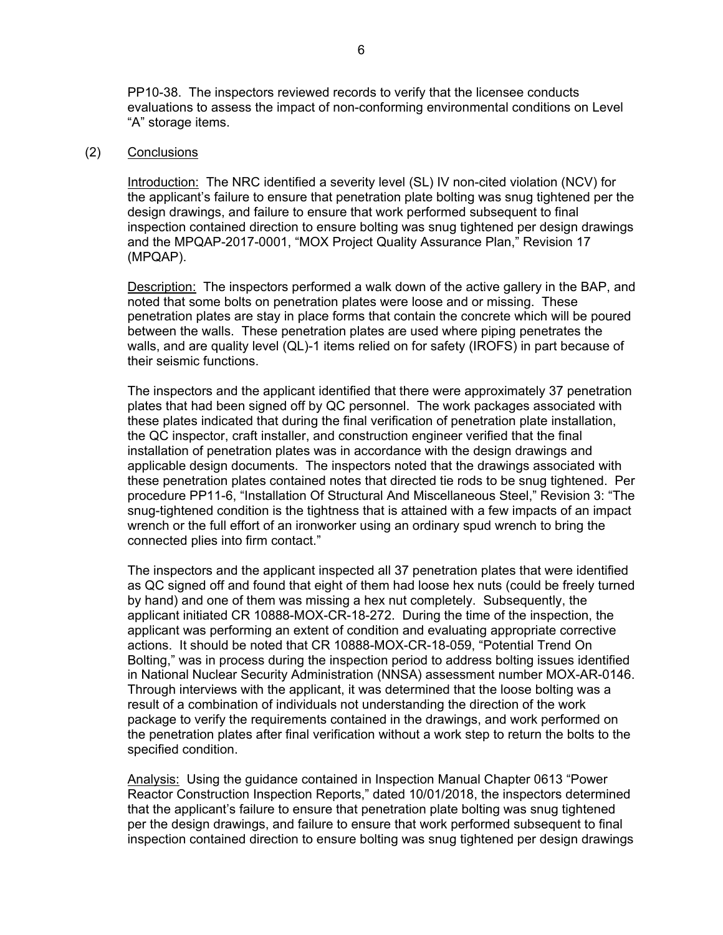PP10-38. The inspectors reviewed records to verify that the licensee conducts evaluations to assess the impact of non-conforming environmental conditions on Level "A" storage items.

#### (2) Conclusions

Introduction: The NRC identified a severity level (SL) IV non-cited violation (NCV) for the applicant's failure to ensure that penetration plate bolting was snug tightened per the design drawings, and failure to ensure that work performed subsequent to final inspection contained direction to ensure bolting was snug tightened per design drawings and the MPQAP-2017-0001, "MOX Project Quality Assurance Plan," Revision 17 (MPQAP).

Description: The inspectors performed a walk down of the active gallery in the BAP, and noted that some bolts on penetration plates were loose and or missing. These penetration plates are stay in place forms that contain the concrete which will be poured between the walls. These penetration plates are used where piping penetrates the walls, and are quality level (QL)-1 items relied on for safety (IROFS) in part because of their seismic functions.

The inspectors and the applicant identified that there were approximately 37 penetration plates that had been signed off by QC personnel. The work packages associated with these plates indicated that during the final verification of penetration plate installation, the QC inspector, craft installer, and construction engineer verified that the final installation of penetration plates was in accordance with the design drawings and applicable design documents. The inspectors noted that the drawings associated with these penetration plates contained notes that directed tie rods to be snug tightened. Per procedure PP11-6, "Installation Of Structural And Miscellaneous Steel," Revision 3: "The snug-tightened condition is the tightness that is attained with a few impacts of an impact wrench or the full effort of an ironworker using an ordinary spud wrench to bring the connected plies into firm contact."

The inspectors and the applicant inspected all 37 penetration plates that were identified as QC signed off and found that eight of them had loose hex nuts (could be freely turned by hand) and one of them was missing a hex nut completely. Subsequently, the applicant initiated CR 10888-MOX-CR-18-272. During the time of the inspection, the applicant was performing an extent of condition and evaluating appropriate corrective actions. It should be noted that CR 10888-MOX-CR-18-059, "Potential Trend On Bolting," was in process during the inspection period to address bolting issues identified in National Nuclear Security Administration (NNSA) assessment number MOX-AR-0146. Through interviews with the applicant, it was determined that the loose bolting was a result of a combination of individuals not understanding the direction of the work package to verify the requirements contained in the drawings, and work performed on the penetration plates after final verification without a work step to return the bolts to the specified condition.

Analysis: Using the guidance contained in Inspection Manual Chapter 0613 "Power Reactor Construction Inspection Reports," dated 10/01/2018, the inspectors determined that the applicant's failure to ensure that penetration plate bolting was snug tightened per the design drawings, and failure to ensure that work performed subsequent to final inspection contained direction to ensure bolting was snug tightened per design drawings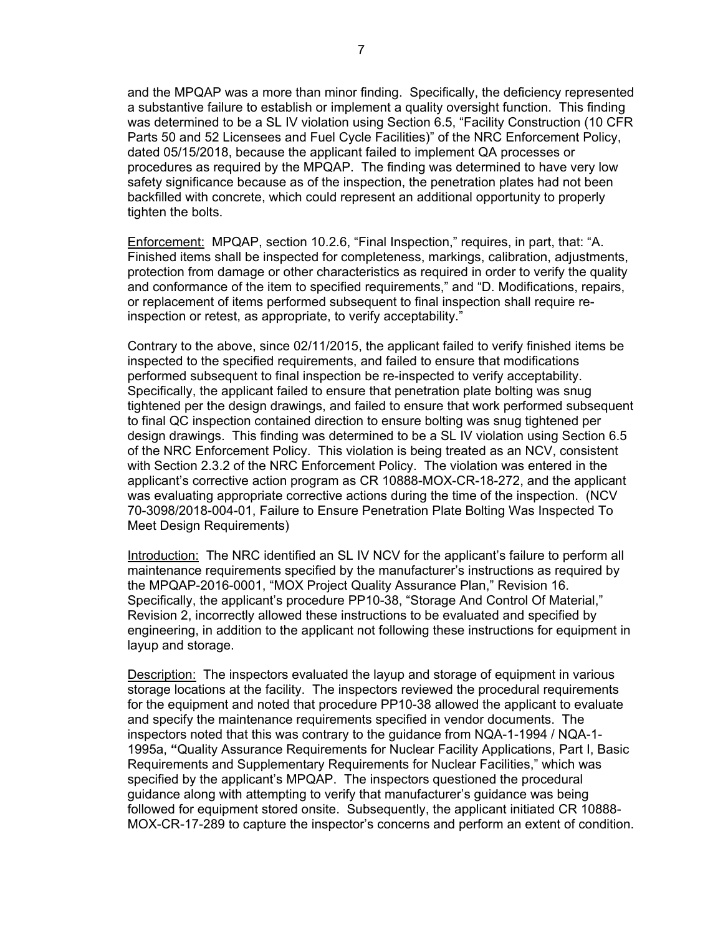and the MPQAP was a more than minor finding. Specifically, the deficiency represented a substantive failure to establish or implement a quality oversight function. This finding was determined to be a SL IV violation using Section 6.5, "Facility Construction (10 CFR Parts 50 and 52 Licensees and Fuel Cycle Facilities)" of the NRC Enforcement Policy, dated 05/15/2018, because the applicant failed to implement QA processes or procedures as required by the MPQAP. The finding was determined to have very low safety significance because as of the inspection, the penetration plates had not been backfilled with concrete, which could represent an additional opportunity to properly tighten the bolts.

Enforcement: MPQAP, section 10.2.6, "Final Inspection," requires, in part, that: "A. Finished items shall be inspected for completeness, markings, calibration, adjustments, protection from damage or other characteristics as required in order to verify the quality and conformance of the item to specified requirements," and "D. Modifications, repairs, or replacement of items performed subsequent to final inspection shall require reinspection or retest, as appropriate, to verify acceptability."

Contrary to the above, since 02/11/2015, the applicant failed to verify finished items be inspected to the specified requirements, and failed to ensure that modifications performed subsequent to final inspection be re-inspected to verify acceptability. Specifically, the applicant failed to ensure that penetration plate bolting was snug tightened per the design drawings, and failed to ensure that work performed subsequent to final QC inspection contained direction to ensure bolting was snug tightened per design drawings. This finding was determined to be a SL IV violation using Section 6.5 of the NRC Enforcement Policy. This violation is being treated as an NCV, consistent with Section 2.3.2 of the NRC Enforcement Policy. The violation was entered in the applicant's corrective action program as CR 10888-MOX-CR-18-272, and the applicant was evaluating appropriate corrective actions during the time of the inspection. (NCV 70-3098/2018-004-01, Failure to Ensure Penetration Plate Bolting Was Inspected To Meet Design Requirements)

Introduction: The NRC identified an SL IV NCV for the applicant's failure to perform all maintenance requirements specified by the manufacturer's instructions as required by the MPQAP-2016-0001, "MOX Project Quality Assurance Plan," Revision 16. Specifically, the applicant's procedure PP10-38, "Storage And Control Of Material," Revision 2, incorrectly allowed these instructions to be evaluated and specified by engineering, in addition to the applicant not following these instructions for equipment in layup and storage.

**Description:** The inspectors evaluated the layup and storage of equipment in various storage locations at the facility. The inspectors reviewed the procedural requirements for the equipment and noted that procedure PP10-38 allowed the applicant to evaluate and specify the maintenance requirements specified in vendor documents. The inspectors noted that this was contrary to the guidance from NQA-1-1994 / NQA-1- 1995a, **"**Quality Assurance Requirements for Nuclear Facility Applications, Part I, Basic Requirements and Supplementary Requirements for Nuclear Facilities," which was specified by the applicant's MPQAP. The inspectors questioned the procedural guidance along with attempting to verify that manufacturer's guidance was being followed for equipment stored onsite. Subsequently, the applicant initiated CR 10888- MOX-CR-17-289 to capture the inspector's concerns and perform an extent of condition.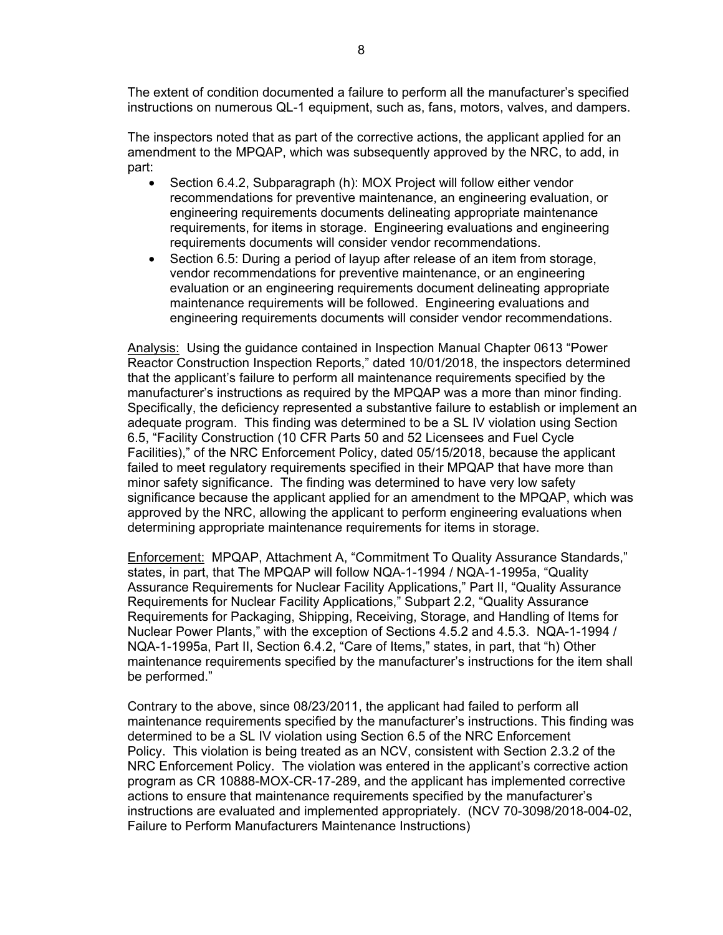The extent of condition documented a failure to perform all the manufacturer's specified instructions on numerous QL-1 equipment, such as, fans, motors, valves, and dampers.

The inspectors noted that as part of the corrective actions, the applicant applied for an amendment to the MPQAP, which was subsequently approved by the NRC, to add, in part:

- Section 6.4.2, Subparagraph (h): MOX Project will follow either vendor recommendations for preventive maintenance, an engineering evaluation, or engineering requirements documents delineating appropriate maintenance requirements, for items in storage. Engineering evaluations and engineering requirements documents will consider vendor recommendations.
- Section 6.5: During a period of layup after release of an item from storage, vendor recommendations for preventive maintenance, or an engineering evaluation or an engineering requirements document delineating appropriate maintenance requirements will be followed. Engineering evaluations and engineering requirements documents will consider vendor recommendations.

Analysis: Using the guidance contained in Inspection Manual Chapter 0613 "Power Reactor Construction Inspection Reports," dated 10/01/2018, the inspectors determined that the applicant's failure to perform all maintenance requirements specified by the manufacturer's instructions as required by the MPQAP was a more than minor finding. Specifically, the deficiency represented a substantive failure to establish or implement an adequate program. This finding was determined to be a SL IV violation using Section 6.5, "Facility Construction (10 CFR Parts 50 and 52 Licensees and Fuel Cycle Facilities)," of the NRC Enforcement Policy, dated 05/15/2018, because the applicant failed to meet regulatory requirements specified in their MPQAP that have more than minor safety significance. The finding was determined to have very low safety significance because the applicant applied for an amendment to the MPQAP, which was approved by the NRC, allowing the applicant to perform engineering evaluations when determining appropriate maintenance requirements for items in storage.

Enforcement: MPQAP, Attachment A, "Commitment To Quality Assurance Standards," states, in part, that The MPQAP will follow NQA-1-1994 / NQA-1-1995a, "Quality Assurance Requirements for Nuclear Facility Applications," Part II, "Quality Assurance Requirements for Nuclear Facility Applications," Subpart 2.2, "Quality Assurance Requirements for Packaging, Shipping, Receiving, Storage, and Handling of Items for Nuclear Power Plants," with the exception of Sections 4.5.2 and 4.5.3. NQA-1-1994 / NQA-1-1995a, Part II, Section 6.4.2, "Care of Items," states, in part, that "h) Other maintenance requirements specified by the manufacturer's instructions for the item shall be performed."

Contrary to the above, since 08/23/2011, the applicant had failed to perform all maintenance requirements specified by the manufacturer's instructions. This finding was determined to be a SL IV violation using Section 6.5 of the NRC Enforcement Policy. This violation is being treated as an NCV, consistent with Section 2.3.2 of the NRC Enforcement Policy. The violation was entered in the applicant's corrective action program as CR 10888-MOX-CR-17-289, and the applicant has implemented corrective actions to ensure that maintenance requirements specified by the manufacturer's instructions are evaluated and implemented appropriately. (NCV 70-3098/2018-004-02, Failure to Perform Manufacturers Maintenance Instructions)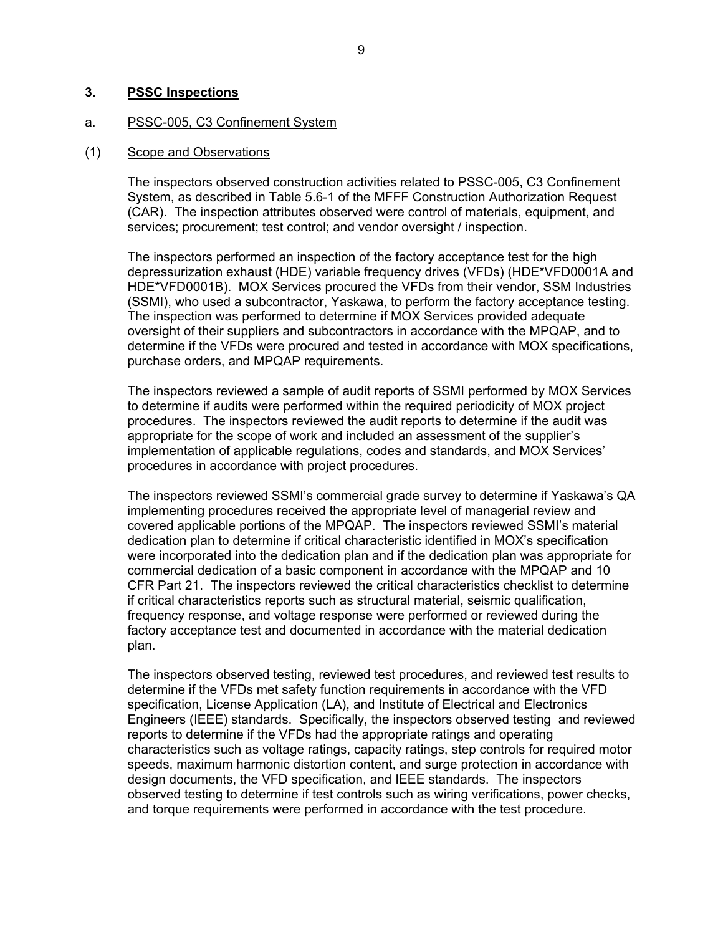#### **3. PSSC Inspections**

#### a. PSSC-005, C3 Confinement System

#### (1) Scope and Observations

The inspectors observed construction activities related to PSSC-005, C3 Confinement System, as described in Table 5.6-1 of the MFFF Construction Authorization Request (CAR). The inspection attributes observed were control of materials, equipment, and services; procurement; test control; and vendor oversight / inspection.

The inspectors performed an inspection of the factory acceptance test for the high depressurization exhaust (HDE) variable frequency drives (VFDs) (HDE\*VFD0001A and HDE\*VFD0001B). MOX Services procured the VFDs from their vendor, SSM Industries (SSMI), who used a subcontractor, Yaskawa, to perform the factory acceptance testing. The inspection was performed to determine if MOX Services provided adequate oversight of their suppliers and subcontractors in accordance with the MPQAP, and to determine if the VFDs were procured and tested in accordance with MOX specifications, purchase orders, and MPQAP requirements.

The inspectors reviewed a sample of audit reports of SSMI performed by MOX Services to determine if audits were performed within the required periodicity of MOX project procedures. The inspectors reviewed the audit reports to determine if the audit was appropriate for the scope of work and included an assessment of the supplier's implementation of applicable regulations, codes and standards, and MOX Services' procedures in accordance with project procedures.

The inspectors reviewed SSMI's commercial grade survey to determine if Yaskawa's QA implementing procedures received the appropriate level of managerial review and covered applicable portions of the MPQAP. The inspectors reviewed SSMI's material dedication plan to determine if critical characteristic identified in MOX's specification were incorporated into the dedication plan and if the dedication plan was appropriate for commercial dedication of a basic component in accordance with the MPQAP and 10 CFR Part 21. The inspectors reviewed the critical characteristics checklist to determine if critical characteristics reports such as structural material, seismic qualification, frequency response, and voltage response were performed or reviewed during the factory acceptance test and documented in accordance with the material dedication plan.

The inspectors observed testing, reviewed test procedures, and reviewed test results to determine if the VFDs met safety function requirements in accordance with the VFD specification, License Application (LA), and Institute of Electrical and Electronics Engineers (IEEE) standards. Specifically, the inspectors observed testing and reviewed reports to determine if the VFDs had the appropriate ratings and operating characteristics such as voltage ratings, capacity ratings, step controls for required motor speeds, maximum harmonic distortion content, and surge protection in accordance with design documents, the VFD specification, and IEEE standards. The inspectors observed testing to determine if test controls such as wiring verifications, power checks, and torque requirements were performed in accordance with the test procedure.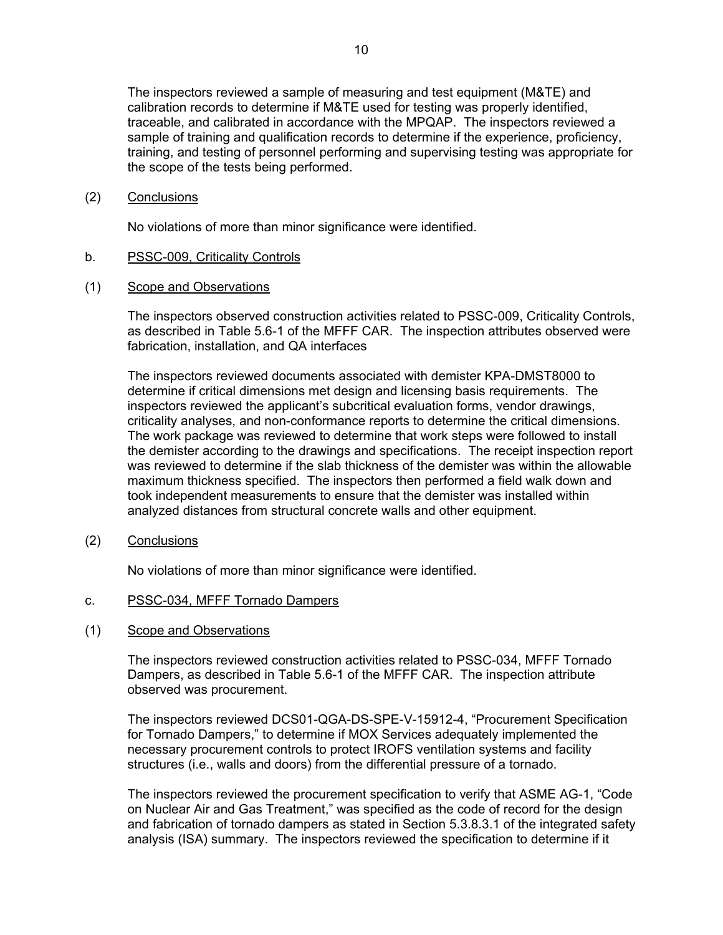The inspectors reviewed a sample of measuring and test equipment (M&TE) and calibration records to determine if M&TE used for testing was properly identified, traceable, and calibrated in accordance with the MPQAP. The inspectors reviewed a sample of training and qualification records to determine if the experience, proficiency, training, and testing of personnel performing and supervising testing was appropriate for the scope of the tests being performed.

(2) Conclusions

No violations of more than minor significance were identified.

#### b. PSSC-009, Criticality Controls

(1) Scope and Observations

The inspectors observed construction activities related to PSSC-009, Criticality Controls, as described in Table 5.6-1 of the MFFF CAR. The inspection attributes observed were fabrication, installation, and QA interfaces

The inspectors reviewed documents associated with demister KPA-DMST8000 to determine if critical dimensions met design and licensing basis requirements. The inspectors reviewed the applicant's subcritical evaluation forms, vendor drawings, criticality analyses, and non-conformance reports to determine the critical dimensions. The work package was reviewed to determine that work steps were followed to install the demister according to the drawings and specifications. The receipt inspection report was reviewed to determine if the slab thickness of the demister was within the allowable maximum thickness specified. The inspectors then performed a field walk down and took independent measurements to ensure that the demister was installed within analyzed distances from structural concrete walls and other equipment.

(2) Conclusions

No violations of more than minor significance were identified.

- c. PSSC-034, MFFF Tornado Dampers
- (1) Scope and Observations

The inspectors reviewed construction activities related to PSSC-034, MFFF Tornado Dampers, as described in Table 5.6-1 of the MFFF CAR. The inspection attribute observed was procurement.

The inspectors reviewed DCS01-QGA-DS-SPE-V-15912-4, "Procurement Specification for Tornado Dampers," to determine if MOX Services adequately implemented the necessary procurement controls to protect IROFS ventilation systems and facility structures (i.e., walls and doors) from the differential pressure of a tornado.

The inspectors reviewed the procurement specification to verify that ASME AG-1, "Code on Nuclear Air and Gas Treatment," was specified as the code of record for the design and fabrication of tornado dampers as stated in Section 5.3.8.3.1 of the integrated safety analysis (ISA) summary. The inspectors reviewed the specification to determine if it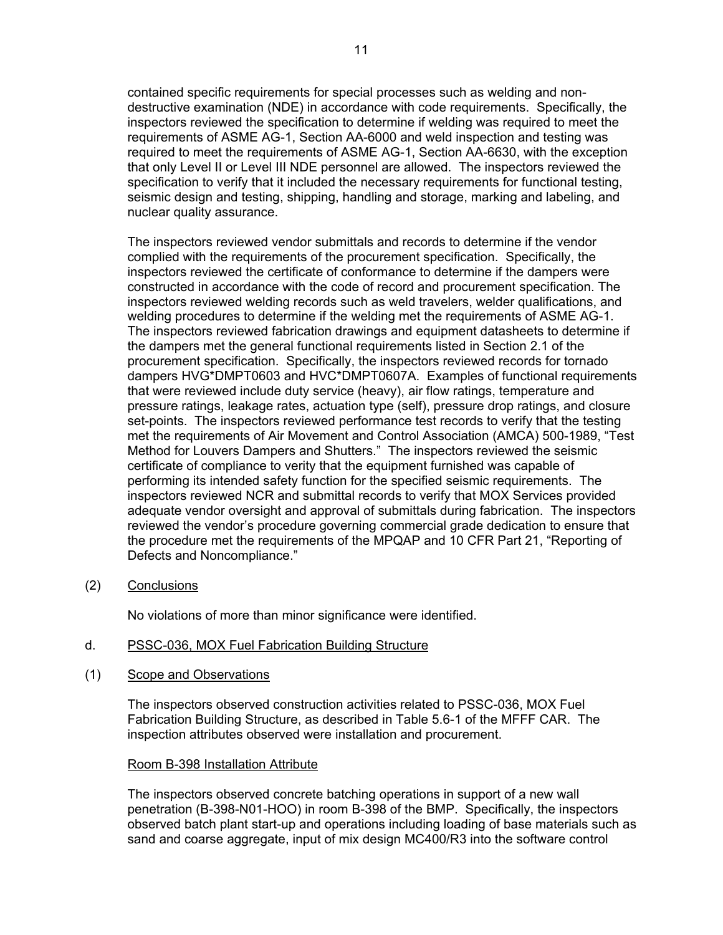contained specific requirements for special processes such as welding and nondestructive examination (NDE) in accordance with code requirements. Specifically, the inspectors reviewed the specification to determine if welding was required to meet the requirements of ASME AG-1, Section AA-6000 and weld inspection and testing was required to meet the requirements of ASME AG-1, Section AA-6630, with the exception that only Level II or Level III NDE personnel are allowed. The inspectors reviewed the specification to verify that it included the necessary requirements for functional testing, seismic design and testing, shipping, handling and storage, marking and labeling, and nuclear quality assurance.

The inspectors reviewed vendor submittals and records to determine if the vendor complied with the requirements of the procurement specification. Specifically, the inspectors reviewed the certificate of conformance to determine if the dampers were constructed in accordance with the code of record and procurement specification. The inspectors reviewed welding records such as weld travelers, welder qualifications, and welding procedures to determine if the welding met the requirements of ASME AG-1. The inspectors reviewed fabrication drawings and equipment datasheets to determine if the dampers met the general functional requirements listed in Section 2.1 of the procurement specification. Specifically, the inspectors reviewed records for tornado dampers HVG\*DMPT0603 and HVC\*DMPT0607A. Examples of functional requirements that were reviewed include duty service (heavy), air flow ratings, temperature and pressure ratings, leakage rates, actuation type (self), pressure drop ratings, and closure set-points. The inspectors reviewed performance test records to verify that the testing met the requirements of Air Movement and Control Association (AMCA) 500-1989, "Test Method for Louvers Dampers and Shutters." The inspectors reviewed the seismic certificate of compliance to verity that the equipment furnished was capable of performing its intended safety function for the specified seismic requirements. The inspectors reviewed NCR and submittal records to verify that MOX Services provided adequate vendor oversight and approval of submittals during fabrication. The inspectors reviewed the vendor's procedure governing commercial grade dedication to ensure that the procedure met the requirements of the MPQAP and 10 CFR Part 21, "Reporting of Defects and Noncompliance."

(2) Conclusions

No violations of more than minor significance were identified.

#### d. PSSC-036, MOX Fuel Fabrication Building Structure

(1) Scope and Observations

The inspectors observed construction activities related to PSSC-036, MOX Fuel Fabrication Building Structure, as described in Table 5.6-1 of the MFFF CAR. The inspection attributes observed were installation and procurement.

#### Room B-398 Installation Attribute

The inspectors observed concrete batching operations in support of a new wall penetration (B-398-N01-HOO) in room B-398 of the BMP. Specifically, the inspectors observed batch plant start-up and operations including loading of base materials such as sand and coarse aggregate, input of mix design MC400/R3 into the software control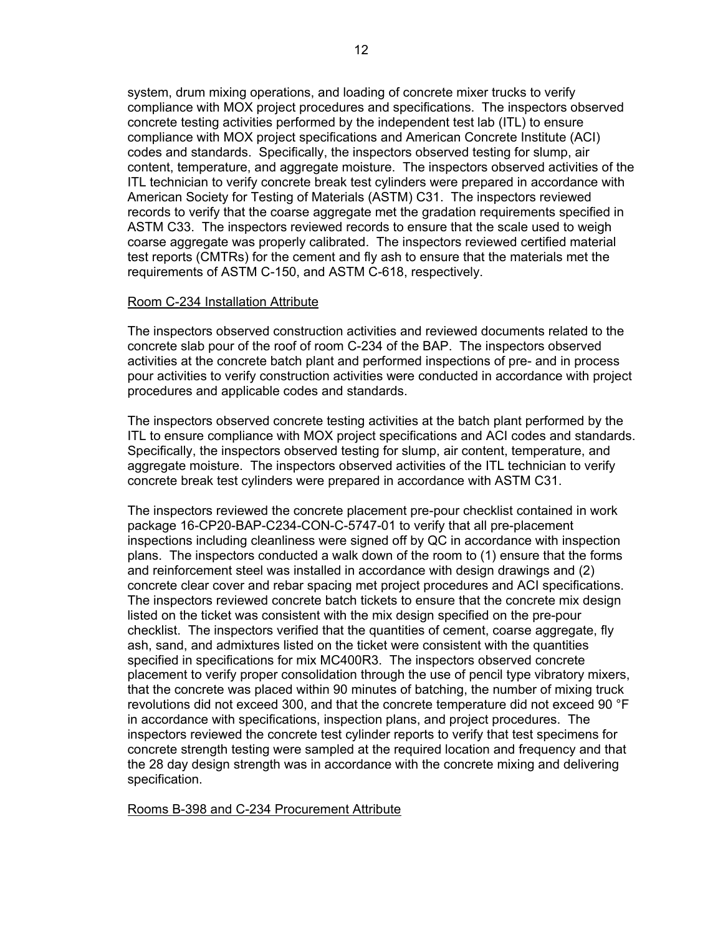system, drum mixing operations, and loading of concrete mixer trucks to verify compliance with MOX project procedures and specifications. The inspectors observed concrete testing activities performed by the independent test lab (ITL) to ensure compliance with MOX project specifications and American Concrete Institute (ACI) codes and standards. Specifically, the inspectors observed testing for slump, air content, temperature, and aggregate moisture. The inspectors observed activities of the ITL technician to verify concrete break test cylinders were prepared in accordance with American Society for Testing of Materials (ASTM) C31. The inspectors reviewed records to verify that the coarse aggregate met the gradation requirements specified in ASTM C33. The inspectors reviewed records to ensure that the scale used to weigh coarse aggregate was properly calibrated. The inspectors reviewed certified material test reports (CMTRs) for the cement and fly ash to ensure that the materials met the requirements of ASTM C-150, and ASTM C-618, respectively.

#### Room C-234 Installation Attribute

The inspectors observed construction activities and reviewed documents related to the concrete slab pour of the roof of room C-234 of the BAP. The inspectors observed activities at the concrete batch plant and performed inspections of pre- and in process pour activities to verify construction activities were conducted in accordance with project procedures and applicable codes and standards.

The inspectors observed concrete testing activities at the batch plant performed by the ITL to ensure compliance with MOX project specifications and ACI codes and standards. Specifically, the inspectors observed testing for slump, air content, temperature, and aggregate moisture. The inspectors observed activities of the ITL technician to verify concrete break test cylinders were prepared in accordance with ASTM C31.

The inspectors reviewed the concrete placement pre-pour checklist contained in work package 16-CP20-BAP-C234-CON-C-5747-01 to verify that all pre-placement inspections including cleanliness were signed off by QC in accordance with inspection plans. The inspectors conducted a walk down of the room to (1) ensure that the forms and reinforcement steel was installed in accordance with design drawings and (2) concrete clear cover and rebar spacing met project procedures and ACI specifications. The inspectors reviewed concrete batch tickets to ensure that the concrete mix design listed on the ticket was consistent with the mix design specified on the pre-pour checklist. The inspectors verified that the quantities of cement, coarse aggregate, fly ash, sand, and admixtures listed on the ticket were consistent with the quantities specified in specifications for mix MC400R3. The inspectors observed concrete placement to verify proper consolidation through the use of pencil type vibratory mixers, that the concrete was placed within 90 minutes of batching, the number of mixing truck revolutions did not exceed 300, and that the concrete temperature did not exceed 90 °F in accordance with specifications, inspection plans, and project procedures. The inspectors reviewed the concrete test cylinder reports to verify that test specimens for concrete strength testing were sampled at the required location and frequency and that the 28 day design strength was in accordance with the concrete mixing and delivering specification.

Rooms B-398 and C-234 Procurement Attribute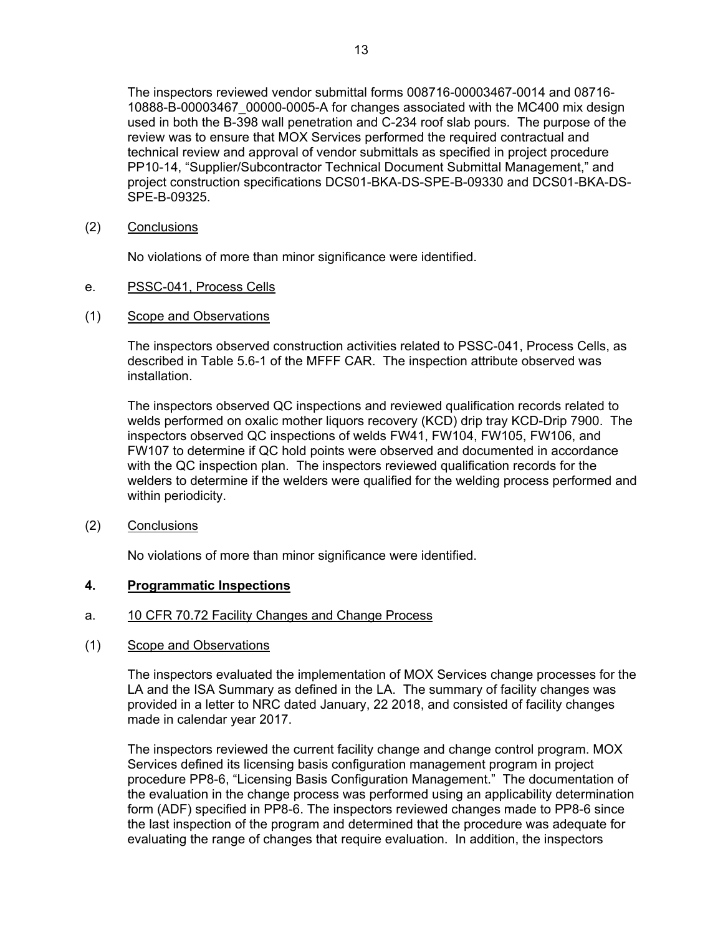The inspectors reviewed vendor submittal forms 008716-00003467-0014 and 08716- 10888-B-00003467\_00000-0005-A for changes associated with the MC400 mix design used in both the B-398 wall penetration and C-234 roof slab pours. The purpose of the review was to ensure that MOX Services performed the required contractual and technical review and approval of vendor submittals as specified in project procedure PP10-14, "Supplier/Subcontractor Technical Document Submittal Management," and project construction specifications DCS01-BKA-DS-SPE-B-09330 and DCS01-BKA-DS-SPE-B-09325.

(2) Conclusions

No violations of more than minor significance were identified.

- e. PSSC-041, Process Cells
- (1) Scope and Observations

The inspectors observed construction activities related to PSSC-041, Process Cells, as described in Table 5.6-1 of the MFFF CAR. The inspection attribute observed was installation.

The inspectors observed QC inspections and reviewed qualification records related to welds performed on oxalic mother liquors recovery (KCD) drip tray KCD-Drip 7900. The inspectors observed QC inspections of welds FW41, FW104, FW105, FW106, and FW107 to determine if QC hold points were observed and documented in accordance with the QC inspection plan. The inspectors reviewed qualification records for the welders to determine if the welders were qualified for the welding process performed and within periodicity.

(2) Conclusions

No violations of more than minor significance were identified.

### **4. Programmatic Inspections**

- a. 10 CFR 70.72 Facility Changes and Change Process
- (1) Scope and Observations

The inspectors evaluated the implementation of MOX Services change processes for the LA and the ISA Summary as defined in the LA. The summary of facility changes was provided in a letter to NRC dated January, 22 2018, and consisted of facility changes made in calendar year 2017.

The inspectors reviewed the current facility change and change control program. MOX Services defined its licensing basis configuration management program in project procedure PP8-6, "Licensing Basis Configuration Management." The documentation of the evaluation in the change process was performed using an applicability determination form (ADF) specified in PP8-6. The inspectors reviewed changes made to PP8-6 since the last inspection of the program and determined that the procedure was adequate for evaluating the range of changes that require evaluation. In addition, the inspectors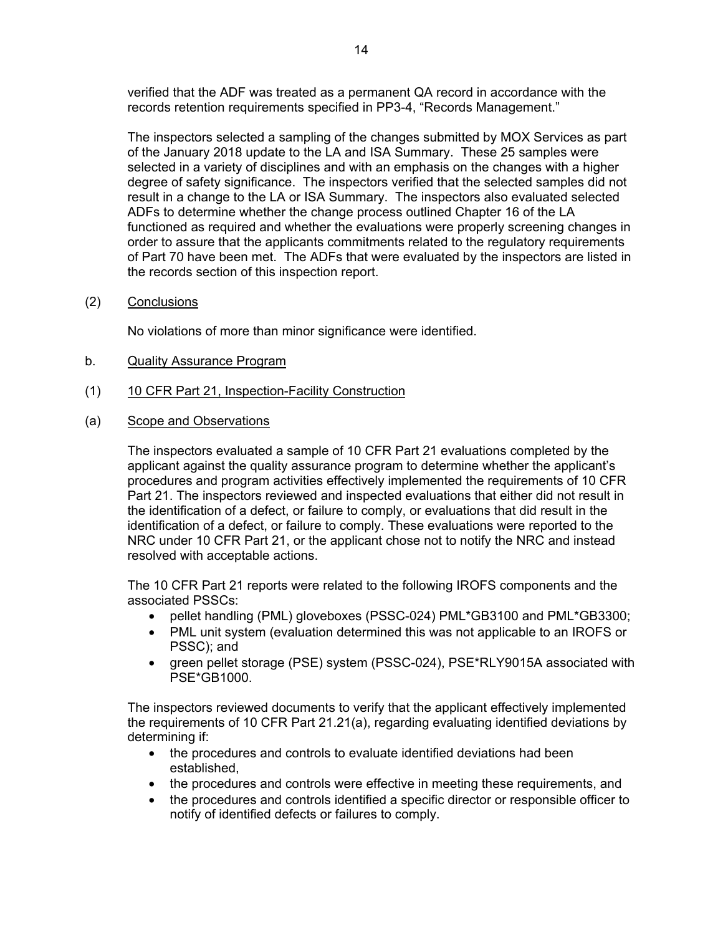verified that the ADF was treated as a permanent QA record in accordance with the records retention requirements specified in PP3-4, "Records Management."

The inspectors selected a sampling of the changes submitted by MOX Services as part of the January 2018 update to the LA and ISA Summary. These 25 samples were selected in a variety of disciplines and with an emphasis on the changes with a higher degree of safety significance. The inspectors verified that the selected samples did not result in a change to the LA or ISA Summary. The inspectors also evaluated selected ADFs to determine whether the change process outlined Chapter 16 of the LA functioned as required and whether the evaluations were properly screening changes in order to assure that the applicants commitments related to the regulatory requirements of Part 70 have been met. The ADFs that were evaluated by the inspectors are listed in the records section of this inspection report.

(2) Conclusions

No violations of more than minor significance were identified.

- b. Quality Assurance Program
- (1) 10 CFR Part 21, Inspection-Facility Construction
- (a) Scope and Observations

The inspectors evaluated a sample of 10 CFR Part 21 evaluations completed by the applicant against the quality assurance program to determine whether the applicant's procedures and program activities effectively implemented the requirements of 10 CFR Part 21. The inspectors reviewed and inspected evaluations that either did not result in the identification of a defect, or failure to comply, or evaluations that did result in the identification of a defect, or failure to comply. These evaluations were reported to the NRC under 10 CFR Part 21, or the applicant chose not to notify the NRC and instead resolved with acceptable actions.

The 10 CFR Part 21 reports were related to the following IROFS components and the associated PSSCs:

- pellet handling (PML) gloveboxes (PSSC-024) PML\*GB3100 and PML\*GB3300;
- PML unit system (evaluation determined this was not applicable to an IROFS or PSSC); and
- green pellet storage (PSE) system (PSSC-024), PSE\*RLY9015A associated with PSE\*GB1000.

The inspectors reviewed documents to verify that the applicant effectively implemented the requirements of 10 CFR Part 21.21(a), regarding evaluating identified deviations by determining if:

- the procedures and controls to evaluate identified deviations had been established,
- the procedures and controls were effective in meeting these requirements, and
- the procedures and controls identified a specific director or responsible officer to notify of identified defects or failures to comply.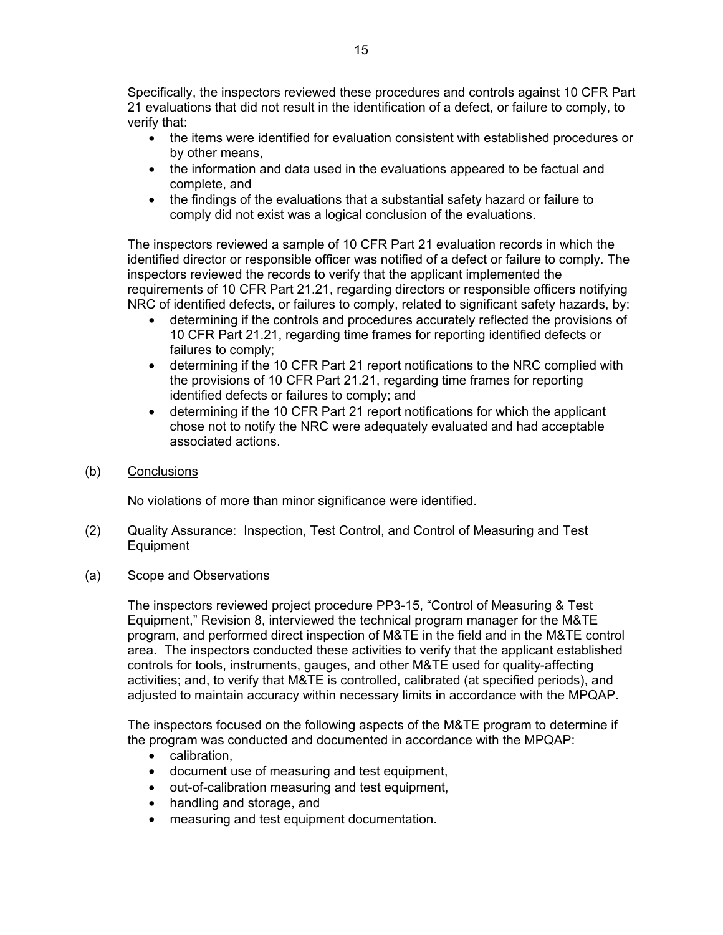Specifically, the inspectors reviewed these procedures and controls against 10 CFR Part 21 evaluations that did not result in the identification of a defect, or failure to comply, to verify that:

- the items were identified for evaluation consistent with established procedures or by other means,
- the information and data used in the evaluations appeared to be factual and complete, and
- the findings of the evaluations that a substantial safety hazard or failure to comply did not exist was a logical conclusion of the evaluations.

The inspectors reviewed a sample of 10 CFR Part 21 evaluation records in which the identified director or responsible officer was notified of a defect or failure to comply. The inspectors reviewed the records to verify that the applicant implemented the requirements of 10 CFR Part 21.21, regarding directors or responsible officers notifying NRC of identified defects, or failures to comply, related to significant safety hazards, by:

- determining if the controls and procedures accurately reflected the provisions of 10 CFR Part 21.21, regarding time frames for reporting identified defects or failures to comply;
- determining if the 10 CFR Part 21 report notifications to the NRC complied with the provisions of 10 CFR Part 21.21, regarding time frames for reporting identified defects or failures to comply; and
- determining if the 10 CFR Part 21 report notifications for which the applicant chose not to notify the NRC were adequately evaluated and had acceptable associated actions.
- (b) Conclusions

No violations of more than minor significance were identified.

#### (2) Quality Assurance: Inspection, Test Control, and Control of Measuring and Test **Equipment**

(a) Scope and Observations

The inspectors reviewed project procedure PP3-15, "Control of Measuring & Test Equipment," Revision 8, interviewed the technical program manager for the M&TE program, and performed direct inspection of M&TE in the field and in the M&TE control area. The inspectors conducted these activities to verify that the applicant established controls for tools, instruments, gauges, and other M&TE used for quality-affecting activities; and, to verify that M&TE is controlled, calibrated (at specified periods), and adjusted to maintain accuracy within necessary limits in accordance with the MPQAP.

The inspectors focused on the following aspects of the M&TE program to determine if the program was conducted and documented in accordance with the MPQAP:

- calibration,
- document use of measuring and test equipment,
- out-of-calibration measuring and test equipment,
- handling and storage, and
- measuring and test equipment documentation.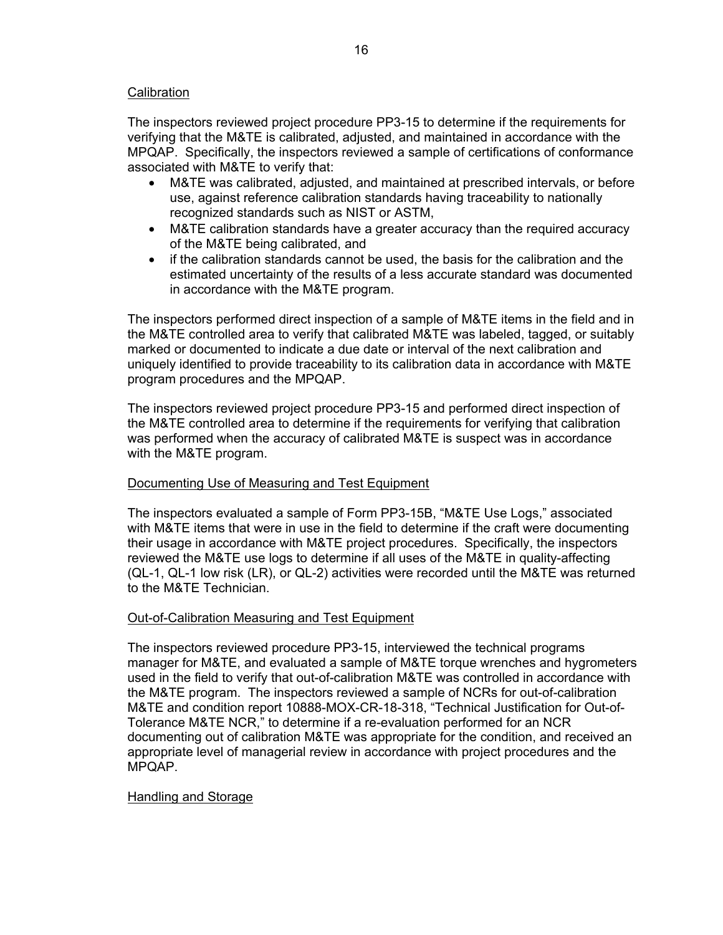### **Calibration**

The inspectors reviewed project procedure PP3-15 to determine if the requirements for verifying that the M&TE is calibrated, adjusted, and maintained in accordance with the MPQAP. Specifically, the inspectors reviewed a sample of certifications of conformance associated with M&TE to verify that:

- M&TE was calibrated, adjusted, and maintained at prescribed intervals, or before use, against reference calibration standards having traceability to nationally recognized standards such as NIST or ASTM,
- M&TE calibration standards have a greater accuracy than the required accuracy of the M&TE being calibrated, and
- if the calibration standards cannot be used, the basis for the calibration and the estimated uncertainty of the results of a less accurate standard was documented in accordance with the M&TE program.

The inspectors performed direct inspection of a sample of M&TE items in the field and in the M&TE controlled area to verify that calibrated M&TE was labeled, tagged, or suitably marked or documented to indicate a due date or interval of the next calibration and uniquely identified to provide traceability to its calibration data in accordance with M&TE program procedures and the MPQAP.

The inspectors reviewed project procedure PP3-15 and performed direct inspection of the M&TE controlled area to determine if the requirements for verifying that calibration was performed when the accuracy of calibrated M&TE is suspect was in accordance with the M&TE program.

### Documenting Use of Measuring and Test Equipment

The inspectors evaluated a sample of Form PP3-15B, "M&TE Use Logs," associated with M&TE items that were in use in the field to determine if the craft were documenting their usage in accordance with M&TE project procedures. Specifically, the inspectors reviewed the M&TE use logs to determine if all uses of the M&TE in quality-affecting (QL-1, QL-1 low risk (LR), or QL-2) activities were recorded until the M&TE was returned to the M&TE Technician.

### Out-of-Calibration Measuring and Test Equipment

The inspectors reviewed procedure PP3-15, interviewed the technical programs manager for M&TE, and evaluated a sample of M&TE torque wrenches and hygrometers used in the field to verify that out-of-calibration M&TE was controlled in accordance with the M&TE program. The inspectors reviewed a sample of NCRs for out-of-calibration M&TE and condition report 10888-MOX-CR-18-318, "Technical Justification for Out-of-Tolerance M&TE NCR," to determine if a re-evaluation performed for an NCR documenting out of calibration M&TE was appropriate for the condition, and received an appropriate level of managerial review in accordance with project procedures and the MPQAP.

#### Handling and Storage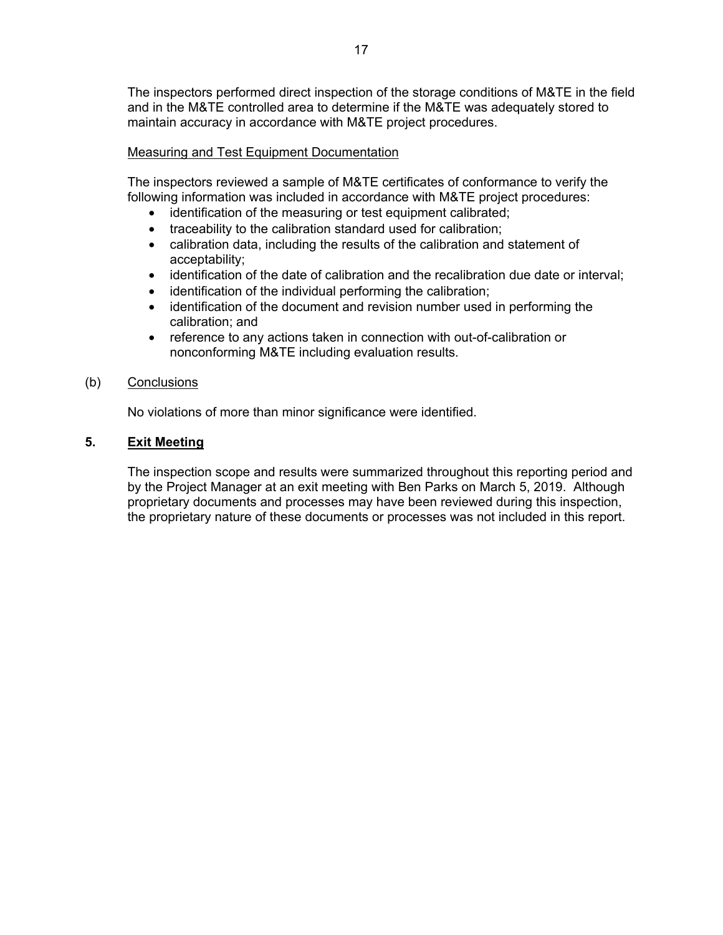The inspectors performed direct inspection of the storage conditions of M&TE in the field and in the M&TE controlled area to determine if the M&TE was adequately stored to maintain accuracy in accordance with M&TE project procedures.

### Measuring and Test Equipment Documentation

The inspectors reviewed a sample of M&TE certificates of conformance to verify the following information was included in accordance with M&TE project procedures:

- identification of the measuring or test equipment calibrated;
- traceability to the calibration standard used for calibration;
- calibration data, including the results of the calibration and statement of acceptability;
- identification of the date of calibration and the recalibration due date or interval;
- identification of the individual performing the calibration;
- identification of the document and revision number used in performing the calibration; and
- reference to any actions taken in connection with out-of-calibration or nonconforming M&TE including evaluation results.

### (b) Conclusions

No violations of more than minor significance were identified.

### **5. Exit Meeting**

The inspection scope and results were summarized throughout this reporting period and by the Project Manager at an exit meeting with Ben Parks on March 5, 2019. Although proprietary documents and processes may have been reviewed during this inspection, the proprietary nature of these documents or processes was not included in this report.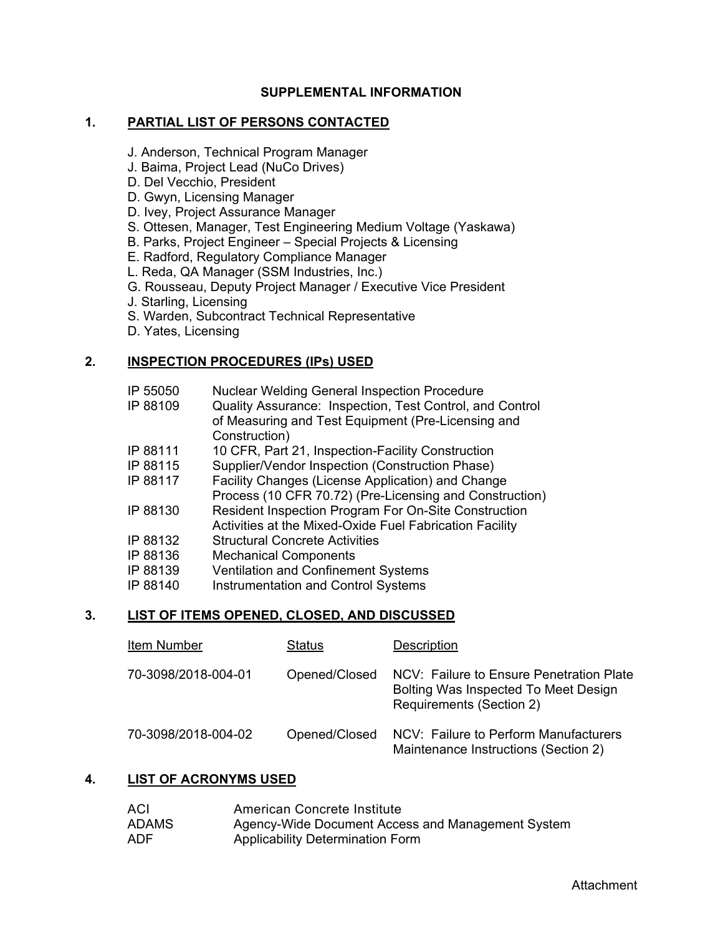### **SUPPLEMENTAL INFORMATION**

#### **1. PARTIAL LIST OF PERSONS CONTACTED**

- J. Anderson, Technical Program Manager
- J. Baima, Project Lead (NuCo Drives)
- D. Del Vecchio, President
- D. Gwyn, Licensing Manager
- D. Ivey, Project Assurance Manager
- S. Ottesen, Manager, Test Engineering Medium Voltage (Yaskawa)
- B. Parks, Project Engineer Special Projects & Licensing
- E. Radford, Regulatory Compliance Manager
- L. Reda, QA Manager (SSM Industries, Inc.)
- G. Rousseau, Deputy Project Manager / Executive Vice President
- J. Starling, Licensing
- S. Warden, Subcontract Technical Representative
- D. Yates, Licensing

### **2. INSPECTION PROCEDURES (IPs) USED**

- IP 55050 Nuclear Welding General Inspection Procedure
- IP 88109 Quality Assurance: Inspection, Test Control, and Control of Measuring and Test Equipment (Pre-Licensing and Construction)
- IP 88111 10 CFR, Part 21, Inspection-Facility Construction
- IP 88115 Supplier/Vendor Inspection (Construction Phase)
- IP 88117 Facility Changes (License Application) and Change
- Process (10 CFR 70.72) (Pre-Licensing and Construction)
- IP 88130 Resident Inspection Program For On-Site Construction Activities at the Mixed-Oxide Fuel Fabrication Facility
- IP 88132 Structural Concrete Activities
- IP 88136 Mechanical Components
- IP 88139 Ventilation and Confinement Systems
- IP 88140 Instrumentation and Control Systems

#### **3. LIST OF ITEMS OPENED, CLOSED, AND DISCUSSED**

| Item Number         | <b>Status</b> | <b>Description</b>                                                                                           |
|---------------------|---------------|--------------------------------------------------------------------------------------------------------------|
| 70-3098/2018-004-01 | Opened/Closed | NCV: Failure to Ensure Penetration Plate<br>Bolting Was Inspected To Meet Design<br>Requirements (Section 2) |
| 70-3098/2018-004-02 | Opened/Closed | NCV: Failure to Perform Manufacturers<br>Maintenance Instructions (Section 2)                                |

#### **4. LIST OF ACRONYMS USED**

| <b>ACI</b>   | American Concrete Institute                       |
|--------------|---------------------------------------------------|
| <b>ADAMS</b> | Agency-Wide Document Access and Management System |
| <b>ADF</b>   | <b>Applicability Determination Form</b>           |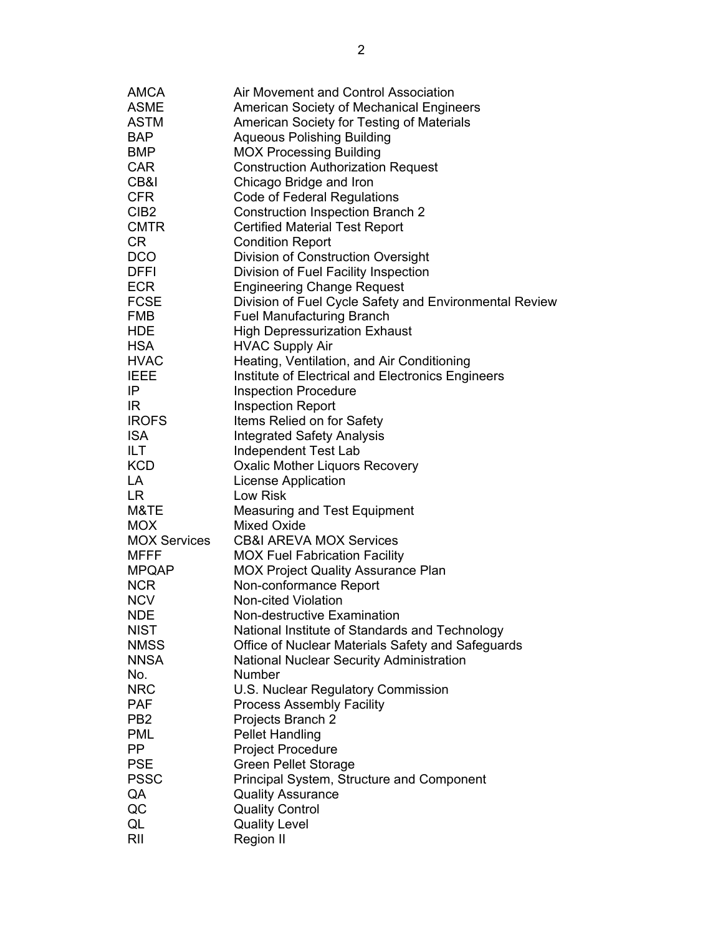| AMCA                      | Air Movement and Control Association                   |
|---------------------------|--------------------------------------------------------|
| <b>ASME</b>               | <b>American Society of Mechanical Engineers</b>        |
| <b>ASTM</b>               | American Society for Testing of Materials              |
| <b>BAP</b>                | <b>Aqueous Polishing Building</b>                      |
| <b>BMP</b>                | <b>MOX Processing Building</b>                         |
| <b>CAR</b>                | <b>Construction Authorization Request</b>              |
| CB&I                      | Chicago Bridge and Iron                                |
| <b>CFR</b>                | <b>Code of Federal Regulations</b>                     |
| CIB <sub>2</sub>          | <b>Construction Inspection Branch 2</b>                |
| <b>CMTR</b>               | <b>Certified Material Test Report</b>                  |
| CR                        | <b>Condition Report</b>                                |
| <b>DCO</b>                | Division of Construction Oversight                     |
| <b>DFFI</b>               | Division of Fuel Facility Inspection                   |
| <b>ECR</b>                | <b>Engineering Change Request</b>                      |
| <b>FCSE</b>               | Division of Fuel Cycle Safety and Environmental Review |
| <b>FMB</b>                | <b>Fuel Manufacturing Branch</b>                       |
| <b>HDE</b>                | <b>High Depressurization Exhaust</b>                   |
| <b>HSA</b>                | <b>HVAC Supply Air</b>                                 |
| <b>HVAC</b>               | Heating, Ventilation, and Air Conditioning             |
| <b>IEEE</b>               | Institute of Electrical and Electronics Engineers      |
| IP.                       | <b>Inspection Procedure</b>                            |
| IR.                       | <b>Inspection Report</b>                               |
| <b>IROFS</b>              | Items Relied on for Safety                             |
| <b>ISA</b>                | <b>Integrated Safety Analysis</b>                      |
| ILT                       | Independent Test Lab                                   |
| <b>KCD</b>                | <b>Oxalic Mother Liquors Recovery</b>                  |
| LA                        | <b>License Application</b>                             |
| <b>LR</b>                 | Low Risk                                               |
| M&TE                      | <b>Measuring and Test Equipment</b>                    |
| <b>MOX</b>                | <b>Mixed Oxide</b>                                     |
| <b>MOX Services</b>       | <b>CB&amp;I AREVA MOX Services</b>                     |
| <b>MFFF</b>               | <b>MOX Fuel Fabrication Facility</b>                   |
| <b>MPQAP</b>              | <b>MOX Project Quality Assurance Plan</b>              |
| <b>NCR</b>                | Non-conformance Report                                 |
| <b>NCV</b>                | <b>Non-cited Violation</b>                             |
|                           | Non-destructive Examination                            |
| <b>NDE</b><br><b>NIST</b> | National Institute of Standards and Technology         |
| <b>NMSS</b>               | Office of Nuclear Materials Safety and Safeguards      |
| <b>NNSA</b>               | <b>National Nuclear Security Administration</b>        |
| No.                       | Number                                                 |
| <b>NRC</b>                | U.S. Nuclear Regulatory Commission                     |
| <b>PAF</b>                | <b>Process Assembly Facility</b>                       |
|                           |                                                        |
| PB <sub>2</sub>           | Projects Branch 2                                      |
| <b>PML</b><br>PP.         | <b>Pellet Handling</b>                                 |
|                           | <b>Project Procedure</b>                               |
| <b>PSE</b>                | <b>Green Pellet Storage</b>                            |
| <b>PSSC</b>               | Principal System, Structure and Component              |
| QA                        | <b>Quality Assurance</b>                               |
| QC                        | <b>Quality Control</b>                                 |
| QL                        | <b>Quality Level</b>                                   |
| RII                       | <b>Region II</b>                                       |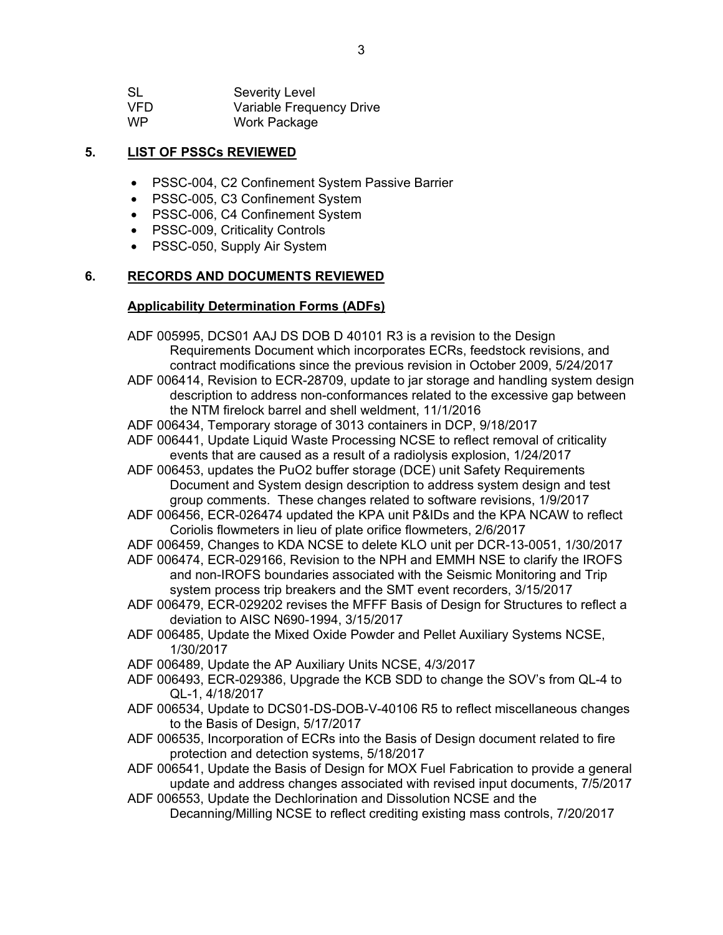| <b>SL</b> | <b>Severity Level</b>    |
|-----------|--------------------------|
| VFD.      | Variable Frequency Drive |
| WP        | Work Package             |

### **5. LIST OF PSSCs REVIEWED**

- PSSC-004, C2 Confinement System Passive Barrier
- PSSC-005, C3 Confinement System
- PSSC-006, C4 Confinement System
- PSSC-009, Criticality Controls
- PSSC-050, Supply Air System

#### **6. RECORDS AND DOCUMENTS REVIEWED**

#### **Applicability Determination Forms (ADFs)**

ADF 005995, DCS01 AAJ DS DOB D 40101 R3 is a revision to the Design Requirements Document which incorporates ECRs, feedstock revisions, and contract modifications since the previous revision in October 2009, 5/24/2017 ADF 006414, Revision to ECR-28709, update to jar storage and handling system design description to address non-conformances related to the excessive gap between the NTM firelock barrel and shell weldment, 11/1/2016 ADF 006434, Temporary storage of 3013 containers in DCP, 9/18/2017 ADF 006441, Update Liquid Waste Processing NCSE to reflect removal of criticality events that are caused as a result of a radiolysis explosion, 1/24/2017 ADF 006453, updates the PuO2 buffer storage (DCE) unit Safety Requirements Document and System design description to address system design and test group comments. These changes related to software revisions, 1/9/2017 ADF 006456, ECR-026474 updated the KPA unit P&IDs and the KPA NCAW to reflect Coriolis flowmeters in lieu of plate orifice flowmeters, 2/6/2017 ADF 006459, Changes to KDA NCSE to delete KLO unit per DCR-13-0051, 1/30/2017 ADF 006474, ECR-029166, Revision to the NPH and EMMH NSE to clarify the IROFS and non-IROFS boundaries associated with the Seismic Monitoring and Trip system process trip breakers and the SMT event recorders, 3/15/2017 ADF 006479, ECR-029202 revises the MFFF Basis of Design for Structures to reflect a deviation to AISC N690-1994, 3/15/2017 ADF 006485, Update the Mixed Oxide Powder and Pellet Auxiliary Systems NCSE, 1/30/2017 ADF 006489, Update the AP Auxiliary Units NCSE, 4/3/2017 ADF 006493, ECR-029386, Upgrade the KCB SDD to change the SOV's from QL-4 to QL-1, 4/18/2017 ADF 006534, Update to DCS01-DS-DOB-V-40106 R5 to reflect miscellaneous changes to the Basis of Design, 5/17/2017 ADF 006535, Incorporation of ECRs into the Basis of Design document related to fire protection and detection systems, 5/18/2017 ADF 006541, Update the Basis of Design for MOX Fuel Fabrication to provide a general

update and address changes associated with revised input documents, 7/5/2017 ADF 006553, Update the Dechlorination and Dissolution NCSE and the Decanning/Milling NCSE to reflect crediting existing mass controls, 7/20/2017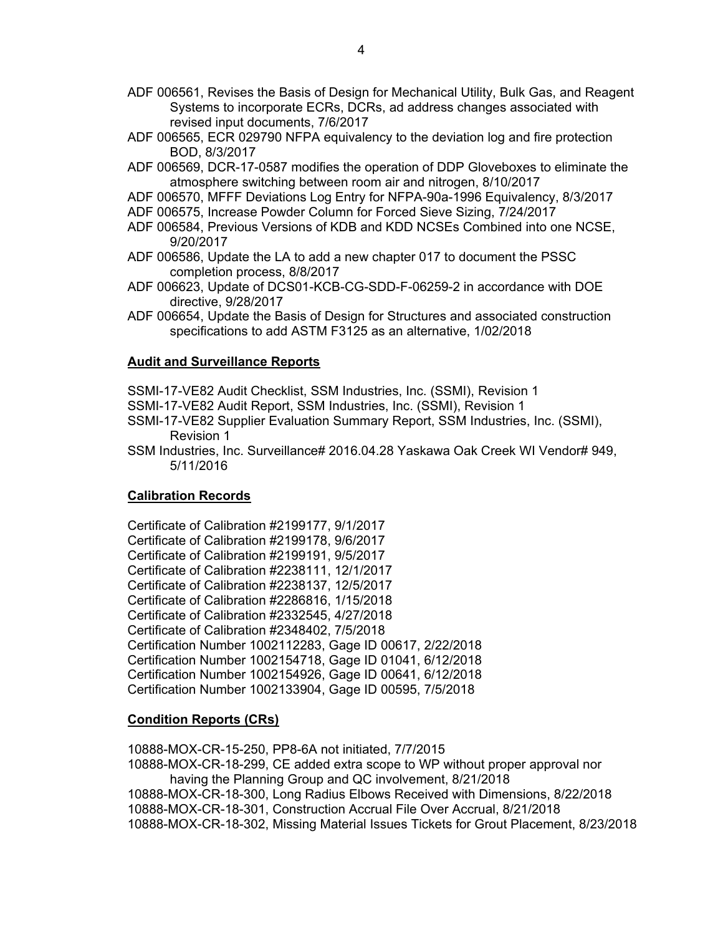- ADF 006561, Revises the Basis of Design for Mechanical Utility, Bulk Gas, and Reagent Systems to incorporate ECRs, DCRs, ad address changes associated with revised input documents, 7/6/2017
- ADF 006565, ECR 029790 NFPA equivalency to the deviation log and fire protection BOD, 8/3/2017
- ADF 006569, DCR-17-0587 modifies the operation of DDP Gloveboxes to eliminate the atmosphere switching between room air and nitrogen, 8/10/2017
- ADF 006570, MFFF Deviations Log Entry for NFPA-90a-1996 Equivalency, 8/3/2017
- ADF 006575, Increase Powder Column for Forced Sieve Sizing, 7/24/2017
- ADF 006584, Previous Versions of KDB and KDD NCSEs Combined into one NCSE, 9/20/2017
- ADF 006586, Update the LA to add a new chapter 017 to document the PSSC completion process, 8/8/2017
- ADF 006623, Update of DCS01-KCB-CG-SDD-F-06259-2 in accordance with DOE directive, 9/28/2017
- ADF 006654, Update the Basis of Design for Structures and associated construction specifications to add ASTM F3125 as an alternative, 1/02/2018

#### **Audit and Surveillance Reports**

SSMI-17-VE82 Audit Checklist, SSM Industries, Inc. (SSMI), Revision 1

- SSMI-17-VE82 Audit Report, SSM Industries, Inc. (SSMI), Revision 1
- SSMI-17-VE82 Supplier Evaluation Summary Report, SSM Industries, Inc. (SSMI), Revision 1
- SSM Industries, Inc. Surveillance# 2016.04.28 Yaskawa Oak Creek WI Vendor# 949, 5/11/2016

#### **Calibration Records**

Certificate of Calibration #2199177, 9/1/2017 Certificate of Calibration #2199178, 9/6/2017 Certificate of Calibration #2199191, 9/5/2017 Certificate of Calibration #2238111, 12/1/2017 Certificate of Calibration #2238137, 12/5/2017 Certificate of Calibration #2286816, 1/15/2018 Certificate of Calibration #2332545, 4/27/2018 Certificate of Calibration #2348402, 7/5/2018 Certification Number 1002112283, Gage ID 00617, 2/22/2018 Certification Number 1002154718, Gage ID 01041, 6/12/2018 Certification Number 1002154926, Gage ID 00641, 6/12/2018 Certification Number 1002133904, Gage ID 00595, 7/5/2018

#### **Condition Reports (CRs)**

10888-MOX-CR-15-250, PP8-6A not initiated, 7/7/2015 10888-MOX-CR-18-299, CE added extra scope to WP without proper approval nor having the Planning Group and QC involvement, 8/21/2018 10888-MOX-CR-18-300, Long Radius Elbows Received with Dimensions, 8/22/2018 10888-MOX-CR-18-301, Construction Accrual File Over Accrual, 8/21/2018 10888-MOX-CR-18-302, Missing Material Issues Tickets for Grout Placement, 8/23/2018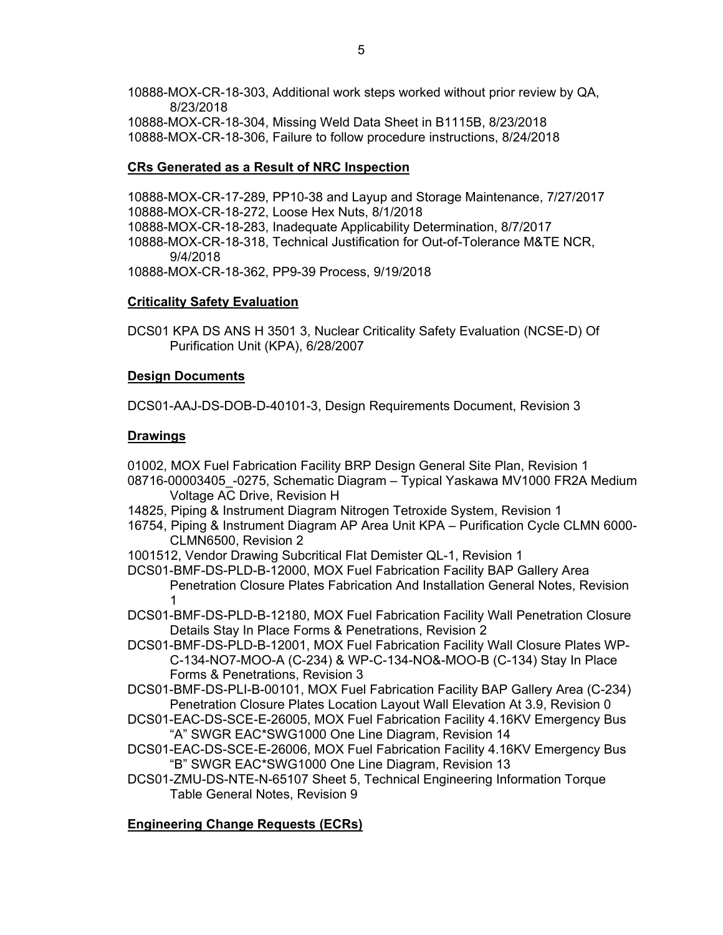10888-MOX-CR-18-303, Additional work steps worked without prior review by QA, 8/23/2018 10888-MOX-CR-18-304, Missing Weld Data Sheet in B1115B, 8/23/2018 10888-MOX-CR-18-306, Failure to follow procedure instructions, 8/24/2018

### **CRs Generated as a Result of NRC Inspection**

10888-MOX-CR-17-289, PP10-38 and Layup and Storage Maintenance, 7/27/2017 10888-MOX-CR-18-272, Loose Hex Nuts, 8/1/2018 10888-MOX-CR-18-283, Inadequate Applicability Determination, 8/7/2017 10888-MOX-CR-18-318, Technical Justification for Out-of-Tolerance M&TE NCR, 9/4/2018 10888-MOX-CR-18-362, PP9-39 Process, 9/19/2018

### **Criticality Safety Evaluation**

DCS01 KPA DS ANS H 3501 3, Nuclear Criticality Safety Evaluation (NCSE-D) Of Purification Unit (KPA), 6/28/2007

### **Design Documents**

DCS01-AAJ-DS-DOB-D-40101-3, Design Requirements Document, Revision 3

### **Drawings**

01002, MOX Fuel Fabrication Facility BRP Design General Site Plan, Revision 1

- 08716-00003405\_-0275, Schematic Diagram Typical Yaskawa MV1000 FR2A Medium Voltage AC Drive, Revision H
- 14825, Piping & Instrument Diagram Nitrogen Tetroxide System, Revision 1
- 16754, Piping & Instrument Diagram AP Area Unit KPA Purification Cycle CLMN 6000- CLMN6500, Revision 2
- 1001512, Vendor Drawing Subcritical Flat Demister QL-1, Revision 1
- DCS01-BMF-DS-PLD-B-12000, MOX Fuel Fabrication Facility BAP Gallery Area Penetration Closure Plates Fabrication And Installation General Notes, Revision 1
- DCS01-BMF-DS-PLD-B-12180, MOX Fuel Fabrication Facility Wall Penetration Closure Details Stay In Place Forms & Penetrations, Revision 2
- DCS01-BMF-DS-PLD-B-12001, MOX Fuel Fabrication Facility Wall Closure Plates WP-C-134-NO7-MOO-A (C-234) & WP-C-134-NO&-MOO-B (C-134) Stay In Place Forms & Penetrations, Revision 3
- DCS01-BMF-DS-PLI-B-00101, MOX Fuel Fabrication Facility BAP Gallery Area (C-234) Penetration Closure Plates Location Layout Wall Elevation At 3.9, Revision 0
- DCS01-EAC-DS-SCE-E-26005, MOX Fuel Fabrication Facility 4.16KV Emergency Bus "A" SWGR EAC\*SWG1000 One Line Diagram, Revision 14
- DCS01-EAC-DS-SCE-E-26006, MOX Fuel Fabrication Facility 4.16KV Emergency Bus "B" SWGR EAC\*SWG1000 One Line Diagram, Revision 13
- DCS01-ZMU-DS-NTE-N-65107 Sheet 5, Technical Engineering Information Torque Table General Notes, Revision 9

## **Engineering Change Requests (ECRs)**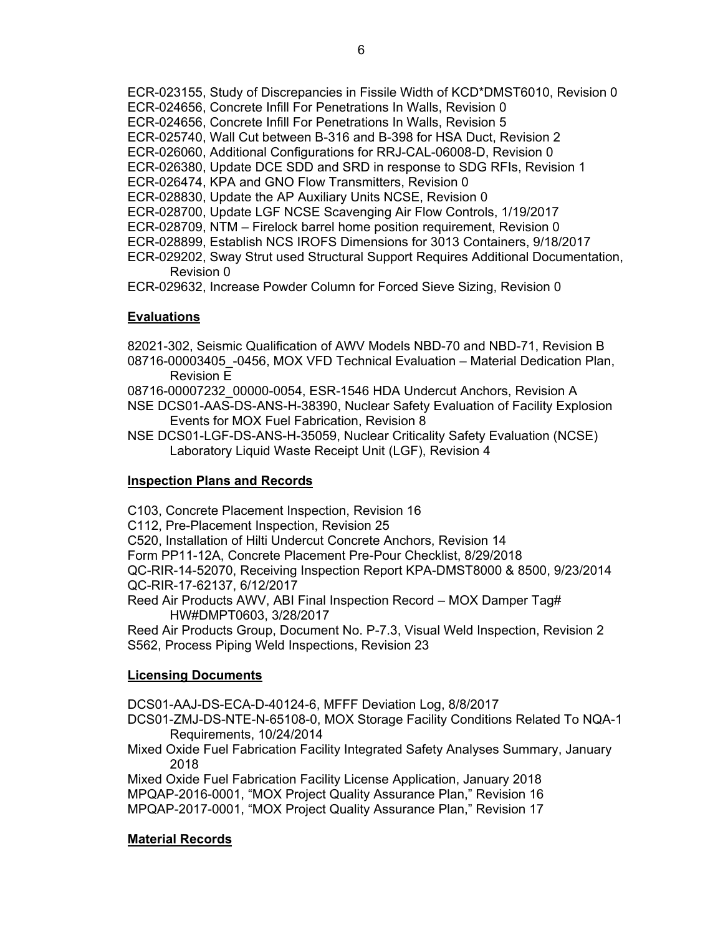- ECR-023155, Study of Discrepancies in Fissile Width of KCD\*DMST6010, Revision 0
- ECR-024656, Concrete Infill For Penetrations In Walls, Revision 0
- ECR-024656, Concrete Infill For Penetrations In Walls, Revision 5
- ECR-025740, Wall Cut between B-316 and B-398 for HSA Duct, Revision 2
- ECR-026060, Additional Configurations for RRJ-CAL-06008-D, Revision 0
- ECR-026380, Update DCE SDD and SRD in response to SDG RFIs, Revision 1
- ECR-026474, KPA and GNO Flow Transmitters, Revision 0
- ECR-028830, Update the AP Auxiliary Units NCSE, Revision 0
- ECR-028700, Update LGF NCSE Scavenging Air Flow Controls, 1/19/2017
- ECR-028709, NTM Firelock barrel home position requirement, Revision 0
- ECR-028899, Establish NCS IROFS Dimensions for 3013 Containers, 9/18/2017
- ECR-029202, Sway Strut used Structural Support Requires Additional Documentation, Revision 0

ECR-029632, Increase Powder Column for Forced Sieve Sizing, Revision 0

# **Evaluations**

- 82021-302, Seismic Qualification of AWV Models NBD-70 and NBD-71, Revision B 08716-00003405\_-0456, MOX VFD Technical Evaluation – Material Dedication Plan, Revision E
- 08716-00007232\_00000-0054, ESR-1546 HDA Undercut Anchors, Revision A
- NSE DCS01-AAS-DS-ANS-H-38390, Nuclear Safety Evaluation of Facility Explosion Events for MOX Fuel Fabrication, Revision 8
- NSE DCS01-LGF-DS-ANS-H-35059, Nuclear Criticality Safety Evaluation (NCSE) Laboratory Liquid Waste Receipt Unit (LGF), Revision 4

# **Inspection Plans and Records**

- C103, Concrete Placement Inspection, Revision 16
- C112, Pre-Placement Inspection, Revision 25
- C520, Installation of Hilti Undercut Concrete Anchors, Revision 14
- Form PP11-12A, Concrete Placement Pre-Pour Checklist, 8/29/2018

QC-RIR-14-52070, Receiving Inspection Report KPA-DMST8000 & 8500, 9/23/2014 QC-RIR-17-62137, 6/12/2017

Reed Air Products AWV, ABI Final Inspection Record – MOX Damper Tag# HW#DMPT0603, 3/28/2017

Reed Air Products Group, Document No. P-7.3, Visual Weld Inspection, Revision 2 S562, Process Piping Weld Inspections, Revision 23

# **Licensing Documents**

DCS01-AAJ-DS-ECA-D-40124-6, MFFF Deviation Log, 8/8/2017

- DCS01-ZMJ-DS-NTE-N-65108-0, MOX Storage Facility Conditions Related To NQA-1 Requirements, 10/24/2014
- Mixed Oxide Fuel Fabrication Facility Integrated Safety Analyses Summary, January 2018

Mixed Oxide Fuel Fabrication Facility License Application, January 2018 MPQAP-2016-0001, "MOX Project Quality Assurance Plan," Revision 16 MPQAP-2017-0001, "MOX Project Quality Assurance Plan," Revision 17

# **Material Records**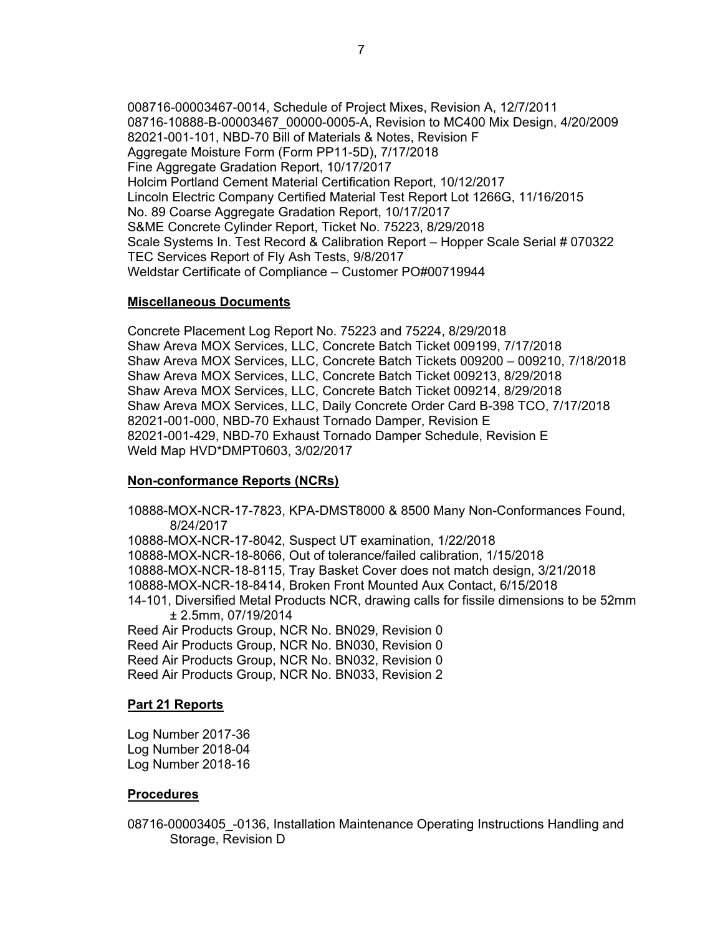008716-00003467-0014, Schedule of Project Mixes, Revision A, 12/7/2011 08716-10888-B-00003467\_00000-0005-A, Revision to MC400 Mix Design, 4/20/2009 82021-001-101, NBD-70 Bill of Materials & Notes, Revision F Aggregate Moisture Form (Form PP11-5D), 7/17/2018 Fine Aggregate Gradation Report, 10/17/2017 Holcim Portland Cement Material Certification Report, 10/12/2017 Lincoln Electric Company Certified Material Test Report Lot 1266G, 11/16/2015 No. 89 Coarse Aggregate Gradation Report, 10/17/2017 S&ME Concrete Cylinder Report, Ticket No. 75223, 8/29/2018 Scale Systems In. Test Record & Calibration Report – Hopper Scale Serial # 070322 TEC Services Report of Fly Ash Tests, 9/8/2017 Weldstar Certificate of Compliance – Customer PO#00719944

#### **Miscellaneous Documents**

Concrete Placement Log Report No. 75223 and 75224, 8/29/2018 Shaw Areva MOX Services, LLC, Concrete Batch Ticket 009199, 7/17/2018 Shaw Areva MOX Services, LLC, Concrete Batch Tickets 009200 – 009210, 7/18/2018 Shaw Areva MOX Services, LLC, Concrete Batch Ticket 009213, 8/29/2018 Shaw Areva MOX Services, LLC, Concrete Batch Ticket 009214, 8/29/2018 Shaw Areva MOX Services, LLC, Daily Concrete Order Card B-398 TCO, 7/17/2018 82021-001-000, NBD-70 Exhaust Tornado Damper, Revision E 82021-001-429, NBD-70 Exhaust Tornado Damper Schedule, Revision E Weld Map HVD\*DMPT0603, 3/02/2017

### **Non-conformance Reports (NCRs)**

10888-MOX-NCR-17-7823, KPA-DMST8000 & 8500 Many Non-Conformances Found, 8/24/2017 10888-MOX-NCR-17-8042, Suspect UT examination, 1/22/2018 10888-MOX-NCR-18-8066, Out of tolerance/failed calibration, 1/15/2018 10888-MOX-NCR-18-8115, Tray Basket Cover does not match design, 3/21/2018 10888-MOX-NCR-18-8414, Broken Front Mounted Aux Contact, 6/15/2018 14-101, Diversified Metal Products NCR, drawing calls for fissile dimensions to be 52mm ± 2.5mm, 07/19/2014 Reed Air Products Group, NCR No. BN029, Revision 0 Reed Air Products Group, NCR No. BN030, Revision 0 Reed Air Products Group, NCR No. BN032, Revision 0 Reed Air Products Group, NCR No. BN033, Revision 2

#### **Part 21 Reports**

Log Number 2017-36 Log Number 2018-04 Log Number 2018-16

#### **Procedures**

08716-00003405 -0136, Installation Maintenance Operating Instructions Handling and Storage, Revision D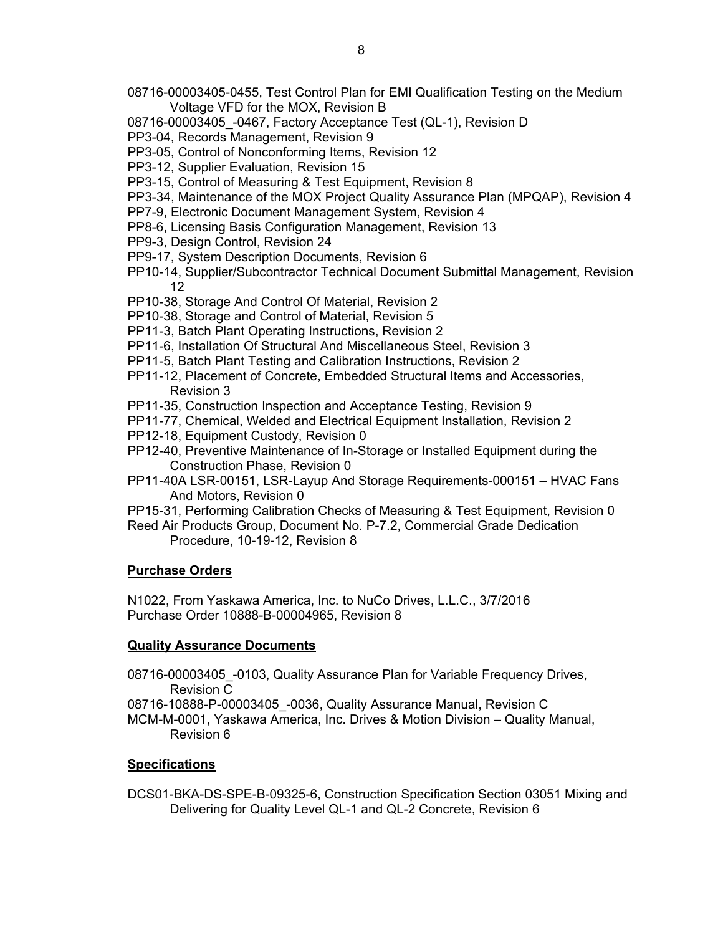- 08716-00003405-0455, Test Control Plan for EMI Qualification Testing on the Medium Voltage VFD for the MOX, Revision B
- 08716-00003405 -0467, Factory Acceptance Test (QL-1), Revision D
- PP3-04, Records Management, Revision 9
- PP3-05, Control of Nonconforming Items, Revision 12
- PP3-12, Supplier Evaluation, Revision 15
- PP3-15, Control of Measuring & Test Equipment, Revision 8
- PP3-34, Maintenance of the MOX Project Quality Assurance Plan (MPQAP), Revision 4
- PP7-9, Electronic Document Management System, Revision 4
- PP8-6, Licensing Basis Configuration Management, Revision 13
- PP9-3, Design Control, Revision 24
- PP9-17, System Description Documents, Revision 6
- PP10-14, Supplier/Subcontractor Technical Document Submittal Management, Revision 12
- PP10-38, Storage And Control Of Material, Revision 2
- PP10-38, Storage and Control of Material, Revision 5
- PP11-3, Batch Plant Operating Instructions, Revision 2
- PP11-6, Installation Of Structural And Miscellaneous Steel, Revision 3
- PP11-5, Batch Plant Testing and Calibration Instructions, Revision 2
- PP11-12, Placement of Concrete, Embedded Structural Items and Accessories, Revision 3
- PP11-35, Construction Inspection and Acceptance Testing, Revision 9
- PP11-77, Chemical, Welded and Electrical Equipment Installation, Revision 2
- PP12-18, Equipment Custody, Revision 0
- PP12-40, Preventive Maintenance of In-Storage or Installed Equipment during the Construction Phase, Revision 0
- PP11-40A LSR-00151, LSR-Layup And Storage Requirements-000151 HVAC Fans And Motors, Revision 0
- PP15-31, Performing Calibration Checks of Measuring & Test Equipment, Revision 0
- Reed Air Products Group, Document No. P-7.2, Commercial Grade Dedication Procedure, 10-19-12, Revision 8

### **Purchase Orders**

N1022, From Yaskawa America, Inc. to NuCo Drives, L.L.C., 3/7/2016 Purchase Order 10888-B-00004965, Revision 8

#### **Quality Assurance Documents**

08716-00003405 -0103, Quality Assurance Plan for Variable Frequency Drives, Revision C

08716-10888-P-00003405 -0036, Quality Assurance Manual, Revision C

MCM-M-0001, Yaskawa America, Inc. Drives & Motion Division – Quality Manual, Revision 6

### **Specifications**

DCS01-BKA-DS-SPE-B-09325-6, Construction Specification Section 03051 Mixing and Delivering for Quality Level QL-1 and QL-2 Concrete, Revision 6